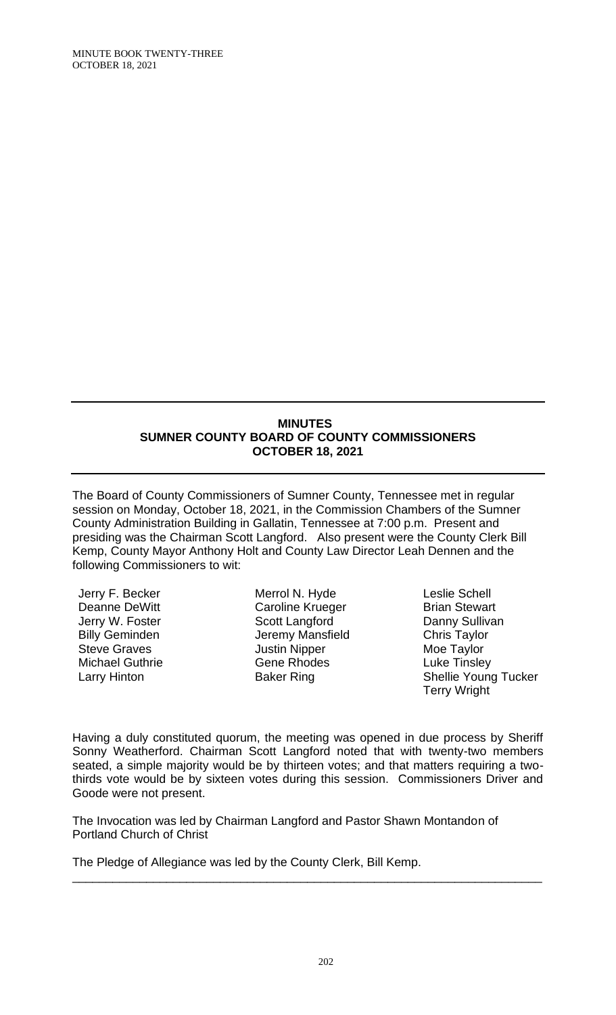### **MINUTES SUMNER COUNTY BOARD OF COUNTY COMMISSIONERS OCTOBER 18, 2021**

The Board of County Commissioners of Sumner County, Tennessee met in regular session on Monday, October 18, 2021, in the Commission Chambers of the Sumner County Administration Building in Gallatin, Tennessee at 7:00 p.m. Present and presiding was the Chairman Scott Langford. Also present were the County Clerk Bill Kemp, County Mayor Anthony Holt and County Law Director Leah Dennen and the following Commissioners to wit:

Jerry F. Becker Deanne DeWitt Jerry W. Foster Billy Geminden Steve Graves Michael Guthrie Larry Hinton

Merrol N. Hyde Caroline Krueger Scott Langford Jeremy Mansfield Justin Nipper Gene Rhodes Baker Ring

Leslie Schell Brian Stewart Danny Sullivan Chris Taylor Moe Taylor Luke Tinsley Shellie Young Tucker Terry Wright

Having a duly constituted quorum, the meeting was opened in due process by Sheriff Sonny Weatherford. Chairman Scott Langford noted that with twenty-two members seated, a simple majority would be by thirteen votes; and that matters requiring a twothirds vote would be by sixteen votes during this session. Commissioners Driver and Goode were not present.

\_\_\_\_\_\_\_\_\_\_\_\_\_\_\_\_\_\_\_\_\_\_\_\_\_\_\_\_\_\_\_\_\_\_\_\_\_\_\_\_\_\_\_\_\_\_\_\_\_\_\_\_\_\_\_\_\_\_\_\_\_\_\_\_\_\_\_\_\_\_

The Invocation was led by Chairman Langford and Pastor Shawn Montandon of Portland Church of Christ

The Pledge of Allegiance was led by the County Clerk, Bill Kemp.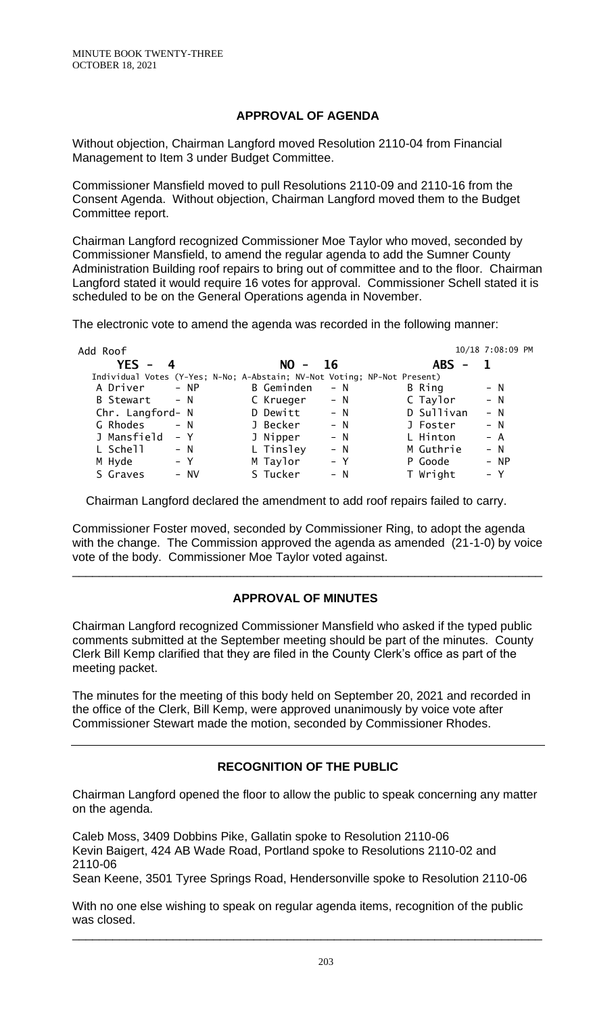## **APPROVAL OF AGENDA**

Without objection, Chairman Langford moved Resolution 2110-04 from Financial Management to Item 3 under Budget Committee.

Commissioner Mansfield moved to pull Resolutions 2110-09 and 2110-16 from the Consent Agenda. Without objection, Chairman Langford moved them to the Budget Committee report.

Chairman Langford recognized Commissioner Moe Taylor who moved, seconded by Commissioner Mansfield, to amend the regular agenda to add the Sumner County Administration Building roof repairs to bring out of committee and to the floor. Chairman Langford stated it would require 16 votes for approval. Commissioner Schell stated it is scheduled to be on the General Operations agenda in November.

The electronic vote to amend the agenda was recorded in the following manner:

| Add Roof         |                                                                          | 10/18 7:08:09 PM    |
|------------------|--------------------------------------------------------------------------|---------------------|
| $YES - 4$        | $NO - 16$                                                                | <b>ABS</b>          |
|                  | Individual Votes (Y-Yes; N-No; A-Abstain; NV-Not Voting; NP-Not Present) |                     |
| A Driver         | <b>B</b> Geminden                                                        | B Ring              |
| $- NP$           | $- N$                                                                    | $- N$               |
| B Stewart - N    | $- N$<br>C Krueger                                                       | C Taylor<br>$- N$   |
| Chr. Langford- N | D Dewitt<br>$- N$                                                        | D Sullivan<br>$- N$ |
| G Rhodes         | J Becker                                                                 | $- N$               |
| $- N$            | $- N$                                                                    | J Foster            |
| J Mansfield      | J Nipper                                                                 | L Hinton            |
| – Y              | $- N$                                                                    | $- A$               |
| L Schell         | L Tinsley                                                                | $- N$               |
| $- N$            | $- N$                                                                    | M Guthrie           |
| M Hyde           | M Taylor                                                                 | $- NP$              |
| $- Y$            | $- Y$                                                                    | P Goode             |
| S Graves         | S Tucker                                                                 | T Wright            |
| $-$ NV           | $- N$                                                                    | $- Y$               |

Chairman Langford declared the amendment to add roof repairs failed to carry.

Commissioner Foster moved, seconded by Commissioner Ring, to adopt the agenda with the change. The Commission approved the agenda as amended (21-1-0) by voice vote of the body. Commissioner Moe Taylor voted against.

# **APPROVAL OF MINUTES**

\_\_\_\_\_\_\_\_\_\_\_\_\_\_\_\_\_\_\_\_\_\_\_\_\_\_\_\_\_\_\_\_\_\_\_\_\_\_\_\_\_\_\_\_\_\_\_\_\_\_\_\_\_\_\_\_\_\_\_\_\_\_\_\_\_\_\_\_\_\_

Chairman Langford recognized Commissioner Mansfield who asked if the typed public comments submitted at the September meeting should be part of the minutes. County Clerk Bill Kemp clarified that they are filed in the County Clerk's office as part of the meeting packet.

The minutes for the meeting of this body held on September 20, 2021 and recorded in the office of the Clerk, Bill Kemp, were approved unanimously by voice vote after Commissioner Stewart made the motion, seconded by Commissioner Rhodes.

# **RECOGNITION OF THE PUBLIC**

Chairman Langford opened the floor to allow the public to speak concerning any matter on the agenda.

Caleb Moss, 3409 Dobbins Pike, Gallatin spoke to Resolution 2110-06 Kevin Baigert, 424 AB Wade Road, Portland spoke to Resolutions 2110-02 and 2110-06

Sean Keene, 3501 Tyree Springs Road, Hendersonville spoke to Resolution 2110-06

With no one else wishing to speak on regular agenda items, recognition of the public was closed.

\_\_\_\_\_\_\_\_\_\_\_\_\_\_\_\_\_\_\_\_\_\_\_\_\_\_\_\_\_\_\_\_\_\_\_\_\_\_\_\_\_\_\_\_\_\_\_\_\_\_\_\_\_\_\_\_\_\_\_\_\_\_\_\_\_\_\_\_\_\_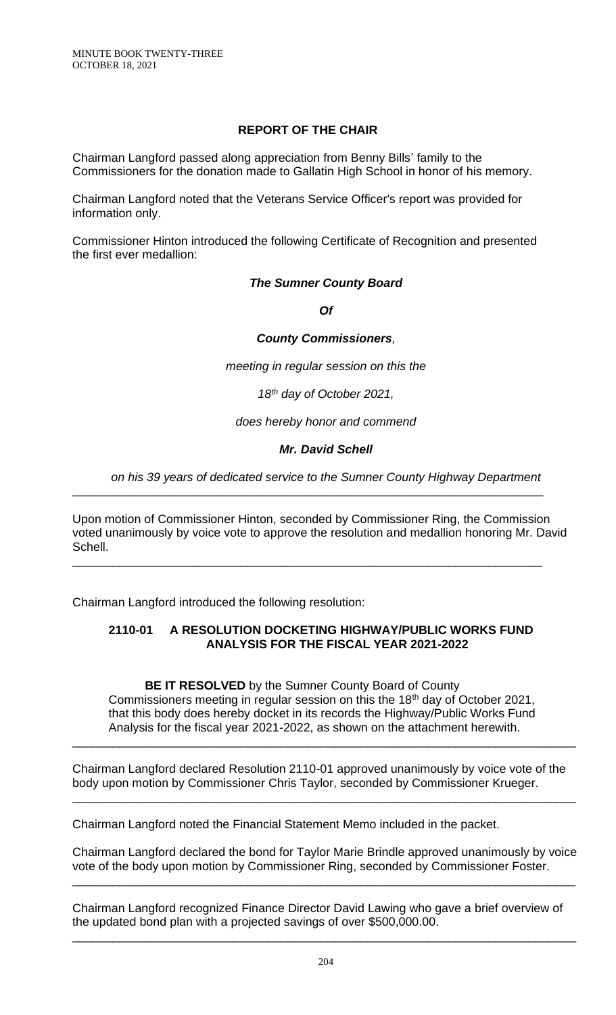## **REPORT OF THE CHAIR**

Chairman Langford passed along appreciation from Benny Bills' family to the Commissioners for the donation made to Gallatin High School in honor of his memory.

Chairman Langford noted that the Veterans Service Officer's report was provided for information only.

Commissioner Hinton introduced the following Certificate of Recognition and presented the first ever medallion:

## *The Sumner County Board*

*Of*

### *County Commissioners,*

*meeting in regular session on this the*

*18th day of October 2021,*

*does hereby honor and commend*

## *Mr. David Schell*

## *on his 39 years of dedicated service to the Sumner County Highway Department*

Upon motion of Commissioner Hinton, seconded by Commissioner Ring, the Commission voted unanimously by voice vote to approve the resolution and medallion honoring Mr. David Schell.

\_\_\_\_\_\_\_\_\_\_\_\_\_\_\_\_\_\_\_\_\_\_\_\_\_\_\_\_\_\_\_\_\_\_\_\_\_\_\_\_\_\_\_\_\_\_\_\_\_\_\_\_\_\_\_\_\_\_\_\_\_\_\_\_\_\_\_\_\_\_\_\_\_\_\_\_\_\_

\_\_\_\_\_\_\_\_\_\_\_\_\_\_\_\_\_\_\_\_\_\_\_\_\_\_\_\_\_\_\_\_\_\_\_\_\_\_\_\_\_\_\_\_\_\_\_\_\_\_\_\_\_\_\_\_\_\_\_\_\_\_\_\_\_\_\_\_\_\_

Chairman Langford introduced the following resolution:

## **2110-01 A RESOLUTION DOCKETING HIGHWAY/PUBLIC WORKS FUND ANALYSIS FOR THE FISCAL YEAR 2021-2022**

**BE IT RESOLVED** by the Sumner County Board of County Commissioners meeting in regular session on this the 18<sup>th</sup> day of October 2021, that this body does hereby docket in its records the Highway/Public Works Fund Analysis for the fiscal year 2021-2022, as shown on the attachment herewith.

\_\_\_\_\_\_\_\_\_\_\_\_\_\_\_\_\_\_\_\_\_\_\_\_\_\_\_\_\_\_\_\_\_\_\_\_\_\_\_\_\_\_\_\_\_\_\_\_\_\_\_\_\_\_\_\_\_\_\_\_\_\_\_\_\_\_\_\_\_\_\_\_\_\_\_

Chairman Langford declared Resolution 2110-01 approved unanimously by voice vote of the body upon motion by Commissioner Chris Taylor, seconded by Commissioner Krueger.

\_\_\_\_\_\_\_\_\_\_\_\_\_\_\_\_\_\_\_\_\_\_\_\_\_\_\_\_\_\_\_\_\_\_\_\_\_\_\_\_\_\_\_\_\_\_\_\_\_\_\_\_\_\_\_\_\_\_\_\_\_\_\_\_\_\_\_\_\_\_\_\_\_\_\_

Chairman Langford noted the Financial Statement Memo included in the packet.

Chairman Langford declared the bond for Taylor Marie Brindle approved unanimously by voice vote of the body upon motion by Commissioner Ring, seconded by Commissioner Foster.

\_\_\_\_\_\_\_\_\_\_\_\_\_\_\_\_\_\_\_\_\_\_\_\_\_\_\_\_\_\_\_\_\_\_\_\_\_\_\_\_\_\_\_\_\_\_\_\_\_\_\_\_\_\_\_\_\_\_\_\_\_\_\_\_\_\_\_\_\_\_\_\_\_\_\_

Chairman Langford recognized Finance Director David Lawing who gave a brief overview of the updated bond plan with a projected savings of over \$500,000.00.

\_\_\_\_\_\_\_\_\_\_\_\_\_\_\_\_\_\_\_\_\_\_\_\_\_\_\_\_\_\_\_\_\_\_\_\_\_\_\_\_\_\_\_\_\_\_\_\_\_\_\_\_\_\_\_\_\_\_\_\_\_\_\_\_\_\_\_\_\_\_\_\_\_\_\_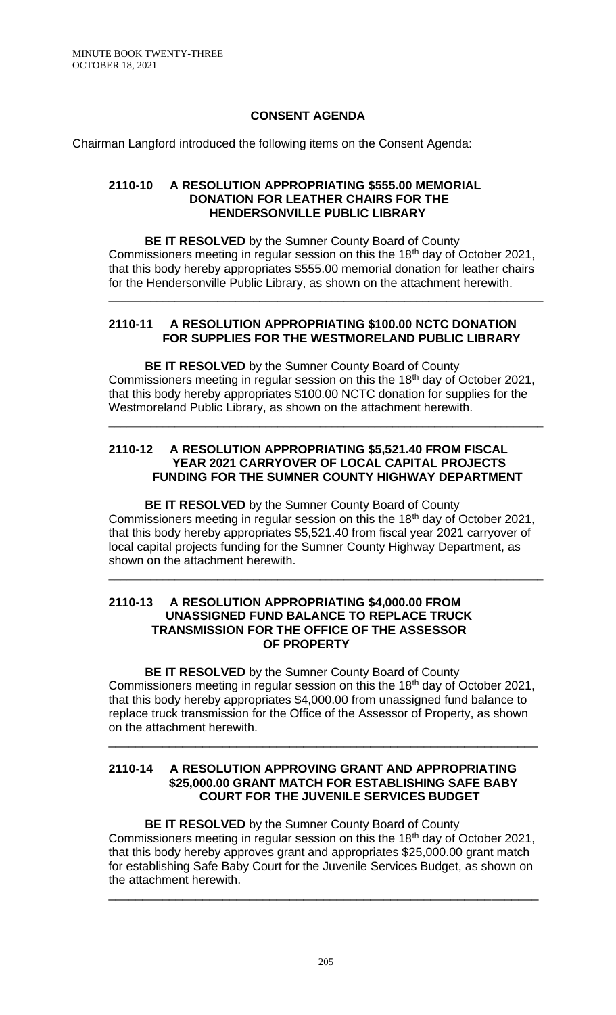## **CONSENT AGENDA**

Chairman Langford introduced the following items on the Consent Agenda:

#### **2110-10 A RESOLUTION APPROPRIATING \$555.00 MEMORIAL DONATION FOR LEATHER CHAIRS FOR THE HENDERSONVILLE PUBLIC LIBRARY**

**BE IT RESOLVED** by the Sumner County Board of County Commissioners meeting in regular session on this the 18th day of October 2021, that this body hereby appropriates \$555.00 memorial donation for leather chairs for the Hendersonville Public Library, as shown on the attachment herewith.

\_\_\_\_\_\_\_\_\_\_\_\_\_\_\_\_\_\_\_\_\_\_\_\_\_\_\_\_\_\_\_\_\_\_\_\_\_\_\_\_\_\_\_\_\_\_\_\_\_\_\_\_\_\_\_\_\_\_\_\_\_\_\_\_\_\_\_\_\_\_\_\_

## **2110-11 A RESOLUTION APPROPRIATING \$100.00 NCTC DONATION FOR SUPPLIES FOR THE WESTMORELAND PUBLIC LIBRARY**

**BE IT RESOLVED** by the Sumner County Board of County Commissioners meeting in regular session on this the 18th day of October 2021, that this body hereby appropriates \$100.00 NCTC donation for supplies for the Westmoreland Public Library, as shown on the attachment herewith.

\_\_\_\_\_\_\_\_\_\_\_\_\_\_\_\_\_\_\_\_\_\_\_\_\_\_\_\_\_\_\_\_\_\_\_\_\_\_\_\_\_\_\_\_\_\_\_\_\_\_\_\_\_\_\_\_\_\_\_\_\_\_\_\_\_\_\_\_\_\_\_\_

## **2110-12 A RESOLUTION APPROPRIATING \$5,521.40 FROM FISCAL YEAR 2021 CARRYOVER OF LOCAL CAPITAL PROJECTS FUNDING FOR THE SUMNER COUNTY HIGHWAY DEPARTMENT**

**BE IT RESOLVED** by the Sumner County Board of County Commissioners meeting in regular session on this the 18th day of October 2021, that this body hereby appropriates \$5,521.40 from fiscal year 2021 carryover of local capital projects funding for the Sumner County Highway Department, as shown on the attachment herewith.

\_\_\_\_\_\_\_\_\_\_\_\_\_\_\_\_\_\_\_\_\_\_\_\_\_\_\_\_\_\_\_\_\_\_\_\_\_\_\_\_\_\_\_\_\_\_\_\_\_\_\_\_\_\_\_\_\_\_\_\_\_\_\_\_\_\_\_\_\_\_\_\_

#### **2110-13 A RESOLUTION APPROPRIATING \$4,000.00 FROM UNASSIGNED FUND BALANCE TO REPLACE TRUCK TRANSMISSION FOR THE OFFICE OF THE ASSESSOR OF PROPERTY**

**BE IT RESOLVED** by the Sumner County Board of County Commissioners meeting in regular session on this the 18th day of October 2021, that this body hereby appropriates \$4,000.00 from unassigned fund balance to replace truck transmission for the Office of the Assessor of Property, as shown on the attachment herewith.

\_\_\_\_\_\_\_\_\_\_\_\_\_\_\_\_\_\_\_\_\_\_\_\_\_\_\_\_\_\_\_\_\_\_\_\_\_\_\_\_\_\_\_\_\_\_\_\_\_\_\_\_\_\_\_\_\_\_\_\_\_\_\_\_

### **2110-14 A RESOLUTION APPROVING GRANT AND APPROPRIATING \$25,000.00 GRANT MATCH FOR ESTABLISHING SAFE BABY COURT FOR THE JUVENILE SERVICES BUDGET**

**BE IT RESOLVED** by the Sumner County Board of County Commissioners meeting in regular session on this the 18<sup>th</sup> day of October 2021, that this body hereby approves grant and appropriates \$25,000.00 grant match for establishing Safe Baby Court for the Juvenile Services Budget, as shown on the attachment herewith.

\_\_\_\_\_\_\_\_\_\_\_\_\_\_\_\_\_\_\_\_\_\_\_\_\_\_\_\_\_\_\_\_\_\_\_\_\_\_\_\_\_\_\_\_\_\_\_\_\_\_\_\_\_\_\_\_\_\_\_\_\_\_\_\_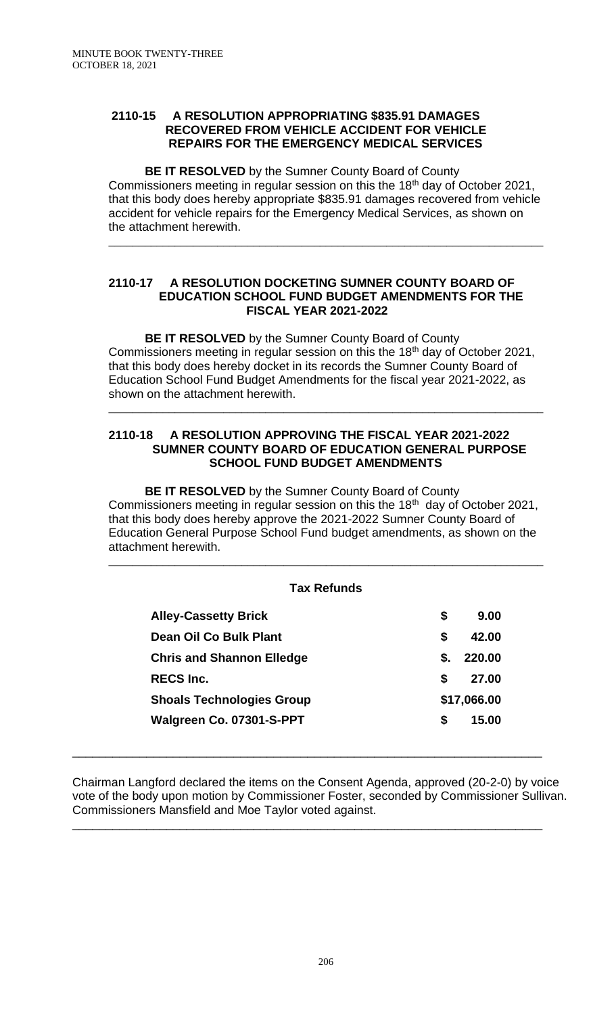### **2110-15 A RESOLUTION APPROPRIATING \$835.91 DAMAGES RECOVERED FROM VEHICLE ACCIDENT FOR VEHICLE REPAIRS FOR THE EMERGENCY MEDICAL SERVICES**

**BE IT RESOLVED** by the Sumner County Board of County Commissioners meeting in regular session on this the 18<sup>th</sup> day of October 2021, that this body does hereby appropriate \$835.91 damages recovered from vehicle accident for vehicle repairs for the Emergency Medical Services, as shown on the attachment herewith.

\_\_\_\_\_\_\_\_\_\_\_\_\_\_\_\_\_\_\_\_\_\_\_\_\_\_\_\_\_\_\_\_\_\_\_\_\_\_\_\_\_\_\_\_\_\_\_\_\_\_\_\_\_\_\_\_\_\_\_\_\_\_\_\_\_\_\_\_\_\_\_\_

### **2110-17 A RESOLUTION DOCKETING SUMNER COUNTY BOARD OF EDUCATION SCHOOL FUND BUDGET AMENDMENTS FOR THE FISCAL YEAR 2021-2022**

**BE IT RESOLVED** by the Sumner County Board of County Commissioners meeting in regular session on this the 18th day of October 2021, that this body does hereby docket in its records the Sumner County Board of Education School Fund Budget Amendments for the fiscal year 2021-2022, as shown on the attachment herewith.

\_\_\_\_\_\_\_\_\_\_\_\_\_\_\_\_\_\_\_\_\_\_\_\_\_\_\_\_\_\_\_\_\_\_\_\_\_\_\_\_\_\_\_\_\_\_\_\_\_\_\_\_\_\_\_\_\_\_\_\_\_\_\_\_\_\_\_\_\_\_\_\_

## **2110-18 A RESOLUTION APPROVING THE FISCAL YEAR 2021-2022 SUMNER COUNTY BOARD OF EDUCATION GENERAL PURPOSE SCHOOL FUND BUDGET AMENDMENTS**

**BE IT RESOLVED** by the Sumner County Board of County Commissioners meeting in regular session on this the  $18<sup>th</sup>$  day of October 2021, that this body does hereby approve the 2021-2022 Sumner County Board of Education General Purpose School Fund budget amendments, as shown on the attachment herewith.

## **Tax Refunds**

\_\_\_\_\_\_\_\_\_\_\_\_\_\_\_\_\_\_\_\_\_\_\_\_\_\_\_\_\_\_\_\_\_\_\_\_\_\_\_\_\_\_\_\_\_\_\_\_\_\_\_\_\_\_\_\_\_\_\_\_\_\_\_\_\_\_\_\_\_\_\_\_

| <b>Alley-Cassetty Brick</b>      | \$ | 9.00        |
|----------------------------------|----|-------------|
| Dean Oil Co Bulk Plant           | S  | 42.00       |
| <b>Chris and Shannon Elledge</b> | S. | 220.00      |
| <b>RECS Inc.</b>                 | S. | 27.00       |
| <b>Shoals Technologies Group</b> |    | \$17,066.00 |
| Walgreen Co. 07301-S-PPT         | S. | 15.00       |

Chairman Langford declared the items on the Consent Agenda, approved (20-2-0) by voice vote of the body upon motion by Commissioner Foster, seconded by Commissioner Sullivan. Commissioners Mansfield and Moe Taylor voted against.

\_\_\_\_\_\_\_\_\_\_\_\_\_\_\_\_\_\_\_\_\_\_\_\_\_\_\_\_\_\_\_\_\_\_\_\_\_\_\_\_\_\_\_\_\_\_\_\_\_\_\_\_\_\_\_\_\_\_\_\_\_\_\_\_\_\_\_\_\_\_

\_\_\_\_\_\_\_\_\_\_\_\_\_\_\_\_\_\_\_\_\_\_\_\_\_\_\_\_\_\_\_\_\_\_\_\_\_\_\_\_\_\_\_\_\_\_\_\_\_\_\_\_\_\_\_\_\_\_\_\_\_\_\_\_\_\_\_\_\_\_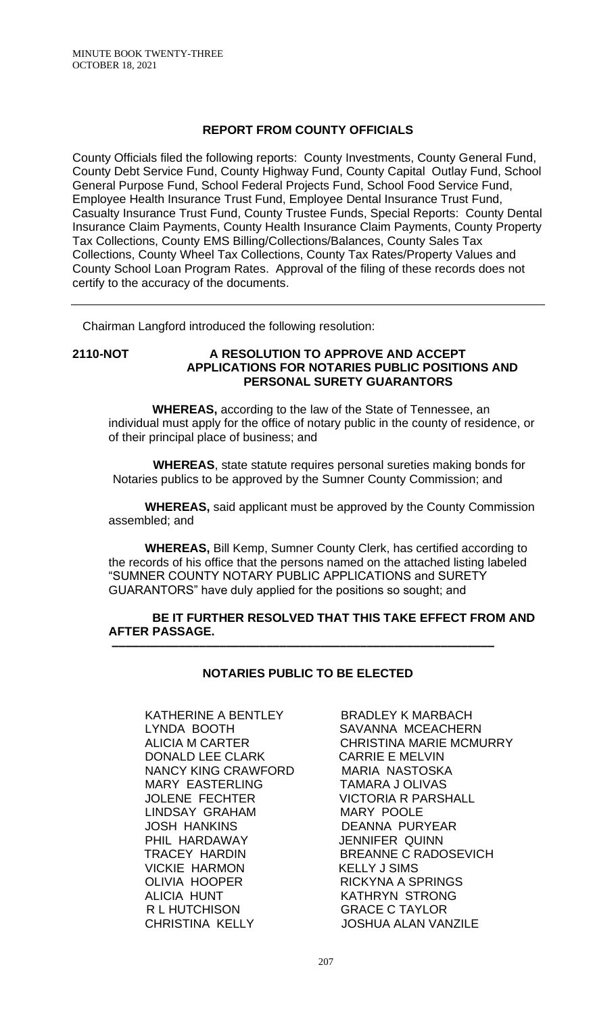## **REPORT FROM COUNTY OFFICIALS**

County Officials filed the following reports: County Investments, County General Fund, County Debt Service Fund, County Highway Fund, County Capital Outlay Fund, School General Purpose Fund, School Federal Projects Fund, School Food Service Fund, Employee Health Insurance Trust Fund, Employee Dental Insurance Trust Fund, Casualty Insurance Trust Fund, County Trustee Funds, Special Reports: County Dental Insurance Claim Payments, County Health Insurance Claim Payments, County Property Tax Collections, County EMS Billing/Collections/Balances, County Sales Tax Collections, County Wheel Tax Collections, County Tax Rates/Property Values and County School Loan Program Rates. Approval of the filing of these records does not certify to the accuracy of the documents.

Chairman Langford introduced the following resolution:

## **2110-NOT A RESOLUTION TO APPROVE AND ACCEPT APPLICATIONS FOR NOTARIES PUBLIC POSITIONS AND PERSONAL SURETY GUARANTORS**

 **WHEREAS,** according to the law of the State of Tennessee, an individual must apply for the office of notary public in the county of residence, or of their principal place of business; and

 **WHEREAS**, state statute requires personal sureties making bonds for Notaries publics to be approved by the Sumner County Commission; and

**WHEREAS,** said applicant must be approved by the County Commission assembled; and

**WHEREAS,** Bill Kemp, Sumner County Clerk, has certified according to the records of his office that the persons named on the attached listing labeled "SUMNER COUNTY NOTARY PUBLIC APPLICATIONS and SURETY GUARANTORS" have duly applied for the positions so sought; and

#### **BE IT FURTHER RESOLVED THAT THIS TAKE EFFECT FROM AND AFTER PASSAGE. –––––––––––––––––––––––––––––––––––––––––––––––––––––––––**

## **NOTARIES PUBLIC TO BE ELECTED**

KATHERINE A BENTLEY BRADLEY K MARBACH LYNDA BOOTH SAVANNA MCEACHERN<br>ALICIA M CARTER CHRISTINA MARIE MCMU DONALD LEE CLARK CARRIE E MELVIN NANCY KING CRAWFORD MARIA NASTOSKA MARY EASTERLING TAMARA J OLIVAS JOLENE FECHTER VICTORIA R PARSHALL LINDSAY GRAHAM MARY POOLE JOSH HANKINS DEANNA PURYEAR PHIL HARDAWAY **JENNIFER QUINN** VICKIE HARMON OLIVIA HOOPER RICKYNA A SPRINGS ALICIA HUNT KATHRYN STRONG R L HUTCHISON GRACE C TAYLOR CHRISTINA KELLY JOSHUA ALAN VANZILE

CHRISTINA MARIE MCMURRY TRACEY HARDIN BREANNE C RADOSEVICH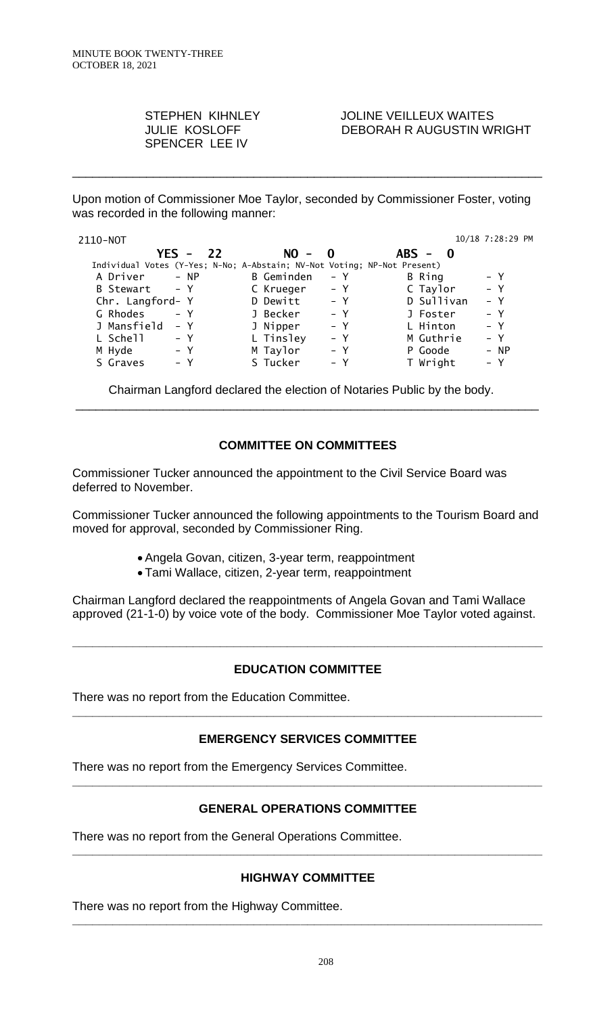SPENCER LEE IV

STEPHEN KIHNLEY JOLINE VEILLEUX WAITES<br>JULIE KOSLOFF DEBORAH RAUGUSTIN WI DEBORAH R AUGUSTIN WRIGHT

Upon motion of Commissioner Moe Taylor, seconded by Commissioner Foster, voting was recorded in the following manner:

\_\_\_\_\_\_\_\_\_\_\_\_\_\_\_\_\_\_\_\_\_\_\_\_\_\_\_\_\_\_\_\_\_\_\_\_\_\_\_\_\_\_\_\_\_\_\_\_\_\_\_\_\_\_\_\_\_\_\_\_\_\_\_\_\_\_\_\_\_\_

| 2110-NOT                                                                 |              |       |            | 10/18 7:28:29 PM |
|--------------------------------------------------------------------------|--------------|-------|------------|------------------|
| $YES -$                                                                  | 22<br>$NO -$ | - 0   | $ABS - 0$  |                  |
| Individual Votes (Y-Yes; N-No; A-Abstain; NV-Not Voting; NP-Not Present) |              |       |            |                  |
| A Driver<br>– NP                                                         | B Geminden   | $- Y$ | B Ring     | $- Y$            |
| B Stewart - Y                                                            | C Krueger    | – Y   | C Taylor   | $- Y$            |
| Chr. Langford- Y                                                         | D Dewitt     | $- Y$ | D Sullivan | $- Y$            |
| G Rhodes<br>$- Y$                                                        | J Becker     | $- Y$ | J Foster   | $- Y$            |
| J Mansfield<br>$- Y$                                                     | J Nipper     | $- Y$ | L Hinton   | $- Y$            |
| L Schell<br>$- Y$                                                        | L Tinsley    | $- Y$ | M Guthrie  | $- Y$            |
| M Hyde<br>– Y                                                            | M Taylor     | $- Y$ | P Goode    | - NP             |
| S Graves<br>– Y                                                          | S Tucker     | – Y   | T Wright   | $- Y$            |

Chairman Langford declared the election of Notaries Public by the body.

## **COMMITTEE ON COMMITTEES**

\_\_\_\_\_\_\_\_\_\_\_\_\_\_\_\_\_\_\_\_\_\_\_\_\_\_\_\_\_\_\_\_\_\_\_\_\_\_\_\_\_\_\_\_\_\_\_\_\_\_\_\_\_\_\_\_\_\_\_\_\_\_\_\_\_\_\_\_\_

Commissioner Tucker announced the appointment to the Civil Service Board was deferred to November.

Commissioner Tucker announced the following appointments to the Tourism Board and moved for approval, seconded by Commissioner Ring.

- Angela Govan, citizen, 3-year term, reappointment
- Tami Wallace, citizen, 2-year term, reappointment

Chairman Langford declared the reappointments of Angela Govan and Tami Wallace approved (21-1-0) by voice vote of the body. Commissioner Moe Taylor voted against.

# **EDUCATION COMMITTEE**

**\_\_\_\_\_\_\_\_\_\_\_\_\_\_\_\_\_\_\_\_\_\_\_\_\_\_\_\_\_\_\_\_\_\_\_\_\_\_\_\_\_\_\_\_\_\_\_\_\_\_\_\_\_\_\_\_\_\_\_\_\_\_\_\_\_\_\_\_\_\_**

There was no report from the Education Committee.

## **EMERGENCY SERVICES COMMITTEE**

**\_\_\_\_\_\_\_\_\_\_\_\_\_\_\_\_\_\_\_\_\_\_\_\_\_\_\_\_\_\_\_\_\_\_\_\_\_\_\_\_\_\_\_\_\_\_\_\_\_\_\_\_\_\_\_\_\_\_\_\_\_\_\_\_\_\_\_\_\_\_**

There was no report from the Emergency Services Committee.

## **GENERAL OPERATIONS COMMITTEE**

**\_\_\_\_\_\_\_\_\_\_\_\_\_\_\_\_\_\_\_\_\_\_\_\_\_\_\_\_\_\_\_\_\_\_\_\_\_\_\_\_\_\_\_\_\_\_\_\_\_\_\_\_\_\_\_\_\_\_\_\_\_\_\_\_\_\_\_\_\_\_**

There was no report from the General Operations Committee.

## **HIGHWAY COMMITTEE**

**\_\_\_\_\_\_\_\_\_\_\_\_\_\_\_\_\_\_\_\_\_\_\_\_\_\_\_\_\_\_\_\_\_\_\_\_\_\_\_\_\_\_\_\_\_\_\_\_\_\_\_\_\_\_\_\_\_\_\_\_\_\_\_\_\_\_\_\_\_\_**

**\_\_\_\_\_\_\_\_\_\_\_\_\_\_\_\_\_\_\_\_\_\_\_\_\_\_\_\_\_\_\_\_\_\_\_\_\_\_\_\_\_\_\_\_\_\_\_\_\_\_\_\_\_\_\_\_\_\_\_\_\_\_\_\_\_\_\_\_\_\_**

There was no report from the Highway Committee.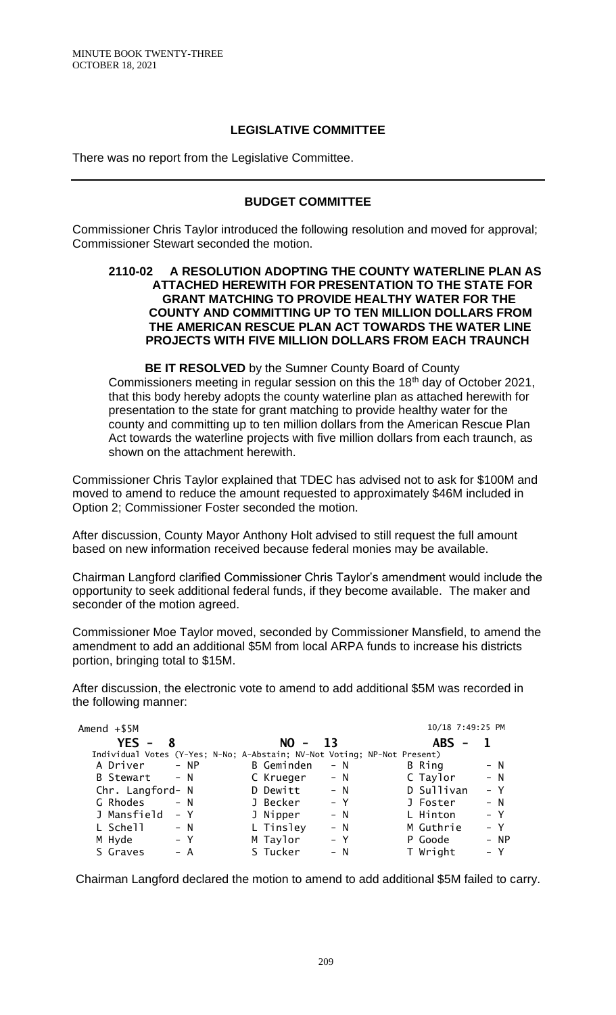## **LEGISLATIVE COMMITTEE**

There was no report from the Legislative Committee.

## **BUDGET COMMITTEE**

Commissioner Chris Taylor introduced the following resolution and moved for approval; Commissioner Stewart seconded the motion.

### **2110-02 A RESOLUTION ADOPTING THE COUNTY WATERLINE PLAN AS ATTACHED HEREWITH FOR PRESENTATION TO THE STATE FOR GRANT MATCHING TO PROVIDE HEALTHY WATER FOR THE COUNTY AND COMMITTING UP TO TEN MILLION DOLLARS FROM THE AMERICAN RESCUE PLAN ACT TOWARDS THE WATER LINE PROJECTS WITH FIVE MILLION DOLLARS FROM EACH TRAUNCH**

**BE IT RESOLVED** by the Sumner County Board of County Commissioners meeting in regular session on this the 18th day of October 2021, that this body hereby adopts the county waterline plan as attached herewith for presentation to the state for grant matching to provide healthy water for the county and committing up to ten million dollars from the American Rescue Plan Act towards the waterline projects with five million dollars from each traunch, as shown on the attachment herewith.

Commissioner Chris Taylor explained that TDEC has advised not to ask for \$100M and moved to amend to reduce the amount requested to approximately \$46M included in Option 2; Commissioner Foster seconded the motion.

After discussion, County Mayor Anthony Holt advised to still request the full amount based on new information received because federal monies may be available.

Chairman Langford clarified Commissioner Chris Taylor's amendment would include the opportunity to seek additional federal funds, if they become available. The maker and seconder of the motion agreed.

Commissioner Moe Taylor moved, seconded by Commissioner Mansfield, to amend the amendment to add an additional \$5M from local ARPA funds to increase his districts portion, bringing total to \$15M.

After discussion, the electronic vote to amend to add additional \$5M was recorded in the following manner:

| Amend $+ $5M$                                                            |        |            |       | 10/18 7:49:25 PM                       |       |
|--------------------------------------------------------------------------|--------|------------|-------|----------------------------------------|-------|
| $YES -$<br>8                                                             |        | $NO - 13$  |       | <b>ABS</b><br>$\overline{\phantom{0}}$ |       |
| Individual Votes (Y-Yes; N-No; A-Abstain; NV-Not Voting; NP-Not Present) |        |            |       |                                        |       |
| A Driver                                                                 | $- NP$ | B Geminden | – N   | B Ring                                 | $- N$ |
| B Stewart - N                                                            |        | C Krueger  | $- N$ | C Taylor                               | $- N$ |
| Chr. Langford- N                                                         |        | D Dewitt   | $- N$ | D Sullivan                             | $- Y$ |
| G Rhodes                                                                 | $- N$  | J Becker   | – Y   | J Foster                               | $- N$ |
| J Mansfield                                                              | – Y    | J Nipper   | $- N$ | L Hinton                               | $- Y$ |
| L Schell                                                                 | $- N$  | L Tinsley  | $- N$ | M Guthrie                              | $- Y$ |
| M Hyde                                                                   | – Y    | M Taylor   | $- Y$ | P Goode                                | - NP  |
| S Graves                                                                 | – A    | S Tucker   | $- N$ | T Wright                               | $- Y$ |

Chairman Langford declared the motion to amend to add additional \$5M failed to carry.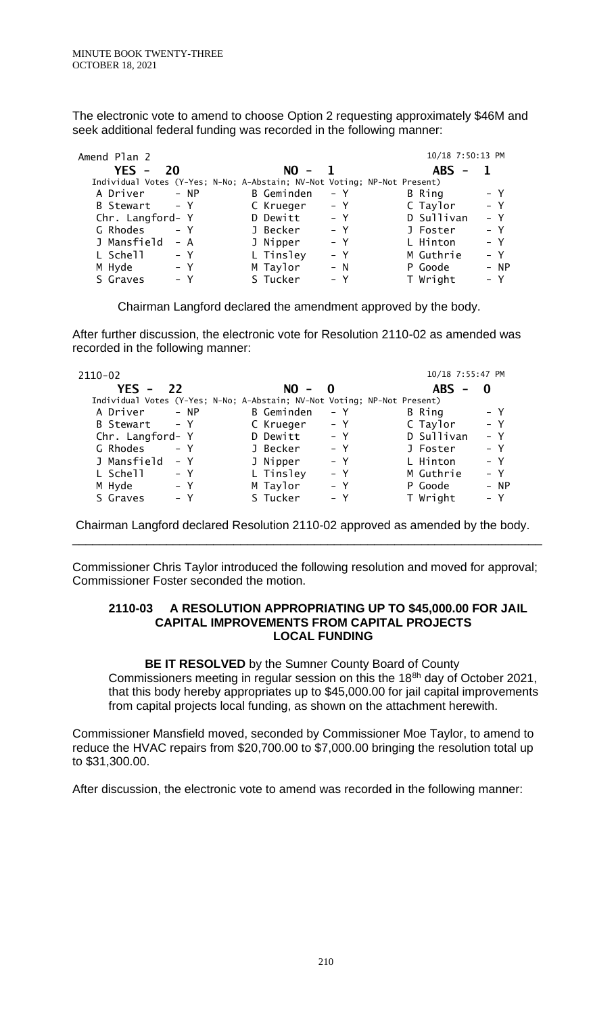The electronic vote to amend to choose Option 2 requesting approximately \$46M and seek additional federal funding was recorded in the following manner:

| Amend Plan 2                                                             |                   | 10/18 7:50:13 PM    |
|--------------------------------------------------------------------------|-------------------|---------------------|
| $YES -$<br>-20                                                           | $NO -$            | $ABS -$             |
| Individual Votes (Y-Yes; N-No; A-Abstain; NV-Not Voting; NP-Not Present) |                   |                     |
| A Driver - NP                                                            | B Geminden<br>– Y | – Y<br>B Ring       |
| B Stewart - Y                                                            | C Krueger<br>– Y  | $- Y$<br>C Taylor   |
| Chr. Langford- Y                                                         | D Dewitt<br>$- Y$ | D Sullivan<br>$- Y$ |
| G Rhodes<br>$- Y$                                                        | J Becker<br>$- Y$ | $- Y$<br>J Foster   |
| J Mansfield<br>– A                                                       | J Nipper<br>$- Y$ | L Hinton<br>$- Y$   |
| L Schell<br>– Y                                                          | L Tinsley<br>– Y  | M Guthrie<br>$- Y$  |
| M Hyde<br>– Y                                                            | M Taylor<br>$- N$ | P Goode<br>- NP     |
| S Graves<br>– Y                                                          | S Tucker<br>$- Y$ | T Wright<br>– Y     |

Chairman Langford declared the amendment approved by the body.

After further discussion, the electronic vote for Resolution 2110-02 as amended was recorded in the following manner:

| 2110-02                                                                  |            |       | 10/18 7:55:47 PM |        |
|--------------------------------------------------------------------------|------------|-------|------------------|--------|
| <b>YES - 22</b>                                                          | $NO - 0$   |       | $ABS -$          | - 0    |
| Individual Votes (Y-Yes; N-No; A-Abstain; NV-Not Voting; NP-Not Present) |            |       |                  |        |
| A Driver - NP                                                            | B Geminden | – Y   | B Ring           | $- Y$  |
| B Stewart - Y                                                            | C Krueger  | – Y   | C Taylor         | $- Y$  |
| Chr. Langford- Y                                                         | D Dewitt   | $- Y$ | D Sullivan       | $- Y$  |
| G Rhodes<br>$- Y$                                                        | J Becker   | $- Y$ | J Foster         | $- Y$  |
| J Mansfield<br>– Y                                                       | J Nipper   | $- Y$ | L Hinton         | $- Y$  |
| L Schell<br>– Y                                                          | L Tinsley  | $- Y$ | M Guthrie        | $- Y$  |
| M Hyde<br>– Y                                                            | M Taylor   | $- Y$ | P Goode          | $- NP$ |
| S Graves<br>– Y                                                          | S Tucker   | – Y   | T Wright         | $- Y$  |

Chairman Langford declared Resolution 2110-02 approved as amended by the body. \_\_\_\_\_\_\_\_\_\_\_\_\_\_\_\_\_\_\_\_\_\_\_\_\_\_\_\_\_\_\_\_\_\_\_\_\_\_\_\_\_\_\_\_\_\_\_\_\_\_\_\_\_\_\_\_\_\_\_\_\_\_\_\_\_\_\_\_\_\_

Commissioner Chris Taylor introduced the following resolution and moved for approval; Commissioner Foster seconded the motion.

#### **2110-03 A RESOLUTION APPROPRIATING UP TO \$45,000.00 FOR JAIL CAPITAL IMPROVEMENTS FROM CAPITAL PROJECTS LOCAL FUNDING**

**BE IT RESOLVED** by the Sumner County Board of County Commissioners meeting in regular session on this the 188h day of October 2021, that this body hereby appropriates up to \$45,000.00 for jail capital improvements from capital projects local funding, as shown on the attachment herewith.

Commissioner Mansfield moved, seconded by Commissioner Moe Taylor, to amend to reduce the HVAC repairs from \$20,700.00 to \$7,000.00 bringing the resolution total up to \$31,300.00.

After discussion, the electronic vote to amend was recorded in the following manner: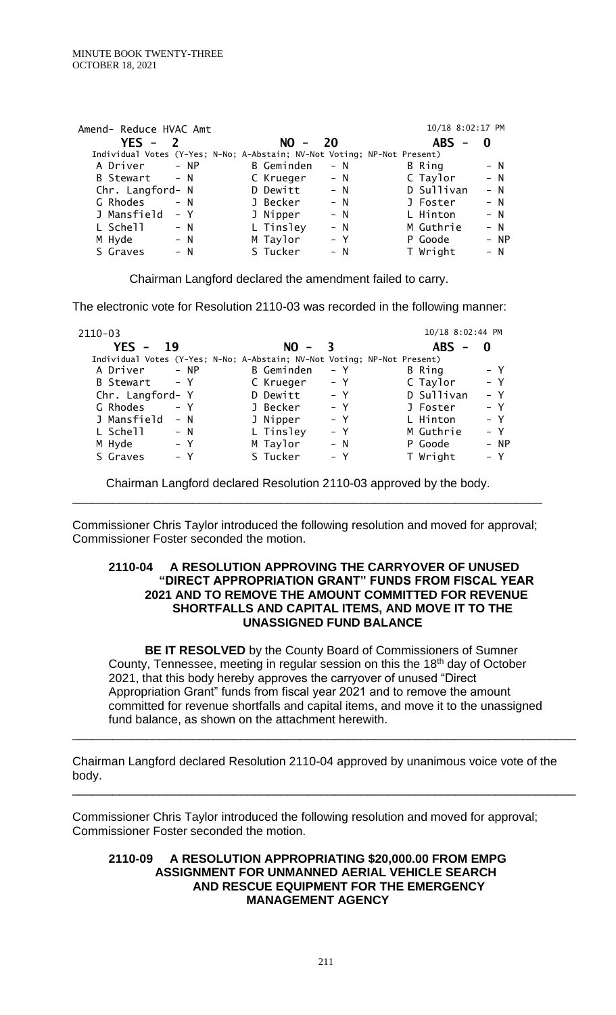| Amend- Reduce HVAC Amt                                                   |                     | 10/18 8:02:17 PM    |
|--------------------------------------------------------------------------|---------------------|---------------------|
| $YES -$                                                                  | 20<br>$NO -$        | $ABS -$<br>0        |
| Individual Votes (Y-Yes; N-No; A-Abstain; NV-Not Voting; NP-Not Present) |                     |                     |
| A Driver - NP                                                            | B Geminden<br>$- N$ | B Ring<br>$- N$     |
| B Stewart - N                                                            | C Krueger<br>$- N$  | C Taylor<br>$- N$   |
| Chr. Langford- N                                                         | D Dewitt<br>$- N$   | D Sullivan<br>$- N$ |
| G Rhodes<br>$- N$                                                        | J Becker<br>$- N$   | $- N$<br>J Foster   |
| J Mansfield<br>– Y                                                       | J Nipper<br>$- N$   | L Hinton<br>$- N$   |
| L Schell<br>$- N$                                                        | L Tinsley<br>$- N$  | M Guthrie<br>$- N$  |
| M Hyde<br>$- N$                                                          | M Taylor<br>$- Y$   | - NP<br>P Goode     |
| S Graves<br>$- N$                                                        | S Tucker<br>– N     | T Wright<br>– N     |

Chairman Langford declared the amendment failed to carry.

The electronic vote for Resolution 2110-03 was recorded in the following manner:

| $2110 - 03$      |                                                                          | 10/18 8:02:44 PM    |
|------------------|--------------------------------------------------------------------------|---------------------|
| $YES -$<br>19    | $NO -$                                                                   | $ABS -$<br>0        |
|                  | Individual Votes (Y-Yes; N-No; A-Abstain; NV-Not Voting; NP-Not Present) |                     |
| A Driver         | B Geminden                                                               | $- Y$               |
| $- NP$           | – Y                                                                      | B Ring              |
| B Stewart - Y    | C Krueger<br>– Y                                                         | $- Y$<br>C Taylor   |
| Chr. Langford- Y | D Dewitt<br>– Y                                                          | D Sullivan<br>$- Y$ |
| G Rhodes         | J Becker                                                                 | – Y                 |
| $- Y$            | $- Y$                                                                    | J Foster            |
| J Mansfield      | J Nipper                                                                 | L Hinton            |
| $- N$            | $- Y$                                                                    | $- Y$               |
| L Schell         | L Tinsley                                                                | M Guthrie           |
| $- N$            | – Y                                                                      | $- Y$               |
| M Hyde           | M Taylor                                                                 | P Goode             |
| $- Y$            | $- N$                                                                    | - NP                |
| S Graves         | S Tucker                                                                 | T Wright            |
| - Y              | – Y                                                                      | – Y                 |

Chairman Langford declared Resolution 2110-03 approved by the body.

Commissioner Chris Taylor introduced the following resolution and moved for approval; Commissioner Foster seconded the motion.

\_\_\_\_\_\_\_\_\_\_\_\_\_\_\_\_\_\_\_\_\_\_\_\_\_\_\_\_\_\_\_\_\_\_\_\_\_\_\_\_\_\_\_\_\_\_\_\_\_\_\_\_\_\_\_\_\_\_\_\_\_\_\_\_\_\_\_\_\_\_

#### **2110-04 A RESOLUTION APPROVING THE CARRYOVER OF UNUSED "DIRECT APPROPRIATION GRANT" FUNDS FROM FISCAL YEAR 2021 AND TO REMOVE THE AMOUNT COMMITTED FOR REVENUE SHORTFALLS AND CAPITAL ITEMS, AND MOVE IT TO THE UNASSIGNED FUND BALANCE**

**BE IT RESOLVED** by the County Board of Commissioners of Sumner County, Tennessee, meeting in regular session on this the 18<sup>th</sup> day of October 2021, that this body hereby approves the carryover of unused "Direct Appropriation Grant" funds from fiscal year 2021 and to remove the amount committed for revenue shortfalls and capital items, and move it to the unassigned fund balance, as shown on the attachment herewith.

\_\_\_\_\_\_\_\_\_\_\_\_\_\_\_\_\_\_\_\_\_\_\_\_\_\_\_\_\_\_\_\_\_\_\_\_\_\_\_\_\_\_\_\_\_\_\_\_\_\_\_\_\_\_\_\_\_\_\_\_\_\_\_\_\_\_\_\_\_\_\_\_\_\_\_

\_\_\_\_\_\_\_\_\_\_\_\_\_\_\_\_\_\_\_\_\_\_\_\_\_\_\_\_\_\_\_\_\_\_\_\_\_\_\_\_\_\_\_\_\_\_\_\_\_\_\_\_\_\_\_\_\_\_\_\_\_\_\_\_\_\_\_\_\_\_\_\_\_\_\_

Chairman Langford declared Resolution 2110-04 approved by unanimous voice vote of the body.

Commissioner Chris Taylor introduced the following resolution and moved for approval; Commissioner Foster seconded the motion.

#### **2110-09 A RESOLUTION APPROPRIATING \$20,000.00 FROM EMPG ASSIGNMENT FOR UNMANNED AERIAL VEHICLE SEARCH AND RESCUE EQUIPMENT FOR THE EMERGENCY MANAGEMENT AGENCY**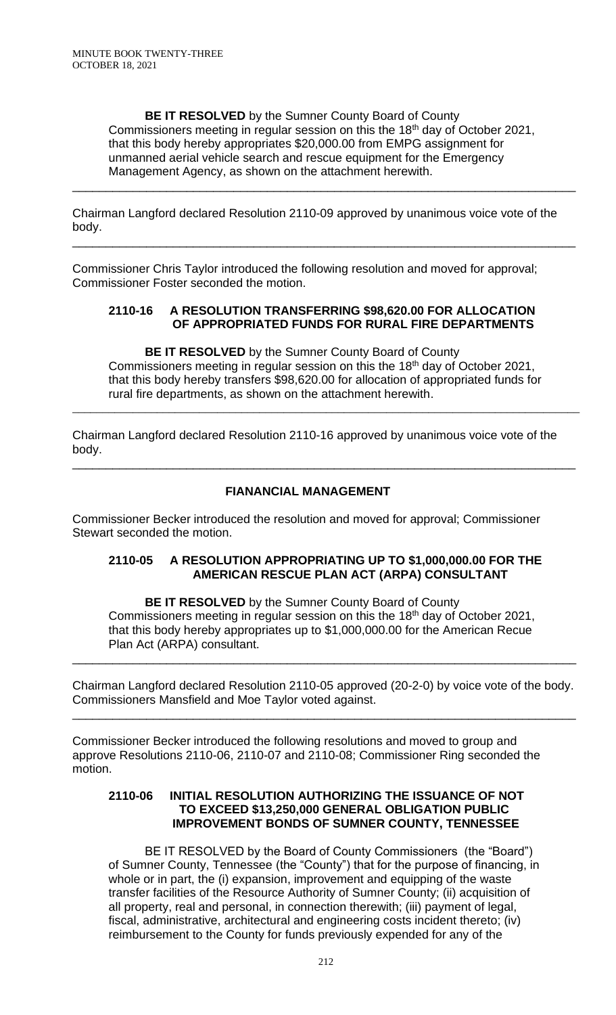**BE IT RESOLVED** by the Sumner County Board of County Commissioners meeting in regular session on this the 18<sup>th</sup> day of October 2021, that this body hereby appropriates \$20,000.00 from EMPG assignment for unmanned aerial vehicle search and rescue equipment for the Emergency Management Agency, as shown on the attachment herewith.

\_\_\_\_\_\_\_\_\_\_\_\_\_\_\_\_\_\_\_\_\_\_\_\_\_\_\_\_\_\_\_\_\_\_\_\_\_\_\_\_\_\_\_\_\_\_\_\_\_\_\_\_\_\_\_\_\_\_\_\_\_\_\_\_\_\_\_\_\_\_\_\_\_\_\_

\_\_\_\_\_\_\_\_\_\_\_\_\_\_\_\_\_\_\_\_\_\_\_\_\_\_\_\_\_\_\_\_\_\_\_\_\_\_\_\_\_\_\_\_\_\_\_\_\_\_\_\_\_\_\_\_\_\_\_\_\_\_\_\_\_\_\_\_\_\_\_\_\_\_\_

Chairman Langford declared Resolution 2110-09 approved by unanimous voice vote of the body.

Commissioner Chris Taylor introduced the following resolution and moved for approval; Commissioner Foster seconded the motion.

### **2110-16 A RESOLUTION TRANSFERRING \$98,620.00 FOR ALLOCATION OF APPROPRIATED FUNDS FOR RURAL FIRE DEPARTMENTS**

**BE IT RESOLVED** by the Sumner County Board of County Commissioners meeting in regular session on this the 18<sup>th</sup> day of October 2021, that this body hereby transfers \$98,620.00 for allocation of appropriated funds for rural fire departments, as shown on the attachment herewith.

\_\_\_\_\_\_\_\_\_\_\_\_\_\_\_\_\_\_\_\_\_\_\_\_\_\_\_\_\_\_\_\_\_\_\_\_\_\_\_\_\_\_\_\_\_\_\_\_\_\_\_\_\_\_\_\_\_\_\_\_\_\_\_\_\_\_\_\_\_\_\_\_\_\_\_\_\_\_\_\_\_\_\_\_

Chairman Langford declared Resolution 2110-16 approved by unanimous voice vote of the body.

\_\_\_\_\_\_\_\_\_\_\_\_\_\_\_\_\_\_\_\_\_\_\_\_\_\_\_\_\_\_\_\_\_\_\_\_\_\_\_\_\_\_\_\_\_\_\_\_\_\_\_\_\_\_\_\_\_\_\_\_\_\_\_\_\_\_\_\_\_\_\_\_\_\_\_

## **FIANANCIAL MANAGEMENT**

Commissioner Becker introduced the resolution and moved for approval; Commissioner Stewart seconded the motion.

## **2110-05 A RESOLUTION APPROPRIATING UP TO \$1,000,000.00 FOR THE AMERICAN RESCUE PLAN ACT (ARPA) CONSULTANT**

**BE IT RESOLVED** by the Sumner County Board of County Commissioners meeting in regular session on this the 18th day of October 2021, that this body hereby appropriates up to \$1,000,000.00 for the American Recue Plan Act (ARPA) consultant.

Chairman Langford declared Resolution 2110-05 approved (20-2-0) by voice vote of the body. Commissioners Mansfield and Moe Taylor voted against.

\_\_\_\_\_\_\_\_\_\_\_\_\_\_\_\_\_\_\_\_\_\_\_\_\_\_\_\_\_\_\_\_\_\_\_\_\_\_\_\_\_\_\_\_\_\_\_\_\_\_\_\_\_\_\_\_\_\_\_\_\_\_\_\_\_\_\_\_\_\_\_\_\_\_\_

\_\_\_\_\_\_\_\_\_\_\_\_\_\_\_\_\_\_\_\_\_\_\_\_\_\_\_\_\_\_\_\_\_\_\_\_\_\_\_\_\_\_\_\_\_\_\_\_\_\_\_\_\_\_\_\_\_\_\_\_\_\_\_\_\_\_\_\_\_\_\_\_\_\_\_

Commissioner Becker introduced the following resolutions and moved to group and approve Resolutions 2110-06, 2110-07 and 2110-08; Commissioner Ring seconded the motion.

### **2110-06 INITIAL RESOLUTION AUTHORIZING THE ISSUANCE OF NOT TO EXCEED \$13,250,000 GENERAL OBLIGATION PUBLIC IMPROVEMENT BONDS OF SUMNER COUNTY, TENNESSEE**

BE IT RESOLVED by the Board of County Commissioners (the "Board") of Sumner County, Tennessee (the "County") that for the purpose of financing, in whole or in part, the (i) expansion, improvement and equipping of the waste transfer facilities of the Resource Authority of Sumner County; (ii) acquisition of all property, real and personal, in connection therewith; (iii) payment of legal, fiscal, administrative, architectural and engineering costs incident thereto; (iv) reimbursement to the County for funds previously expended for any of the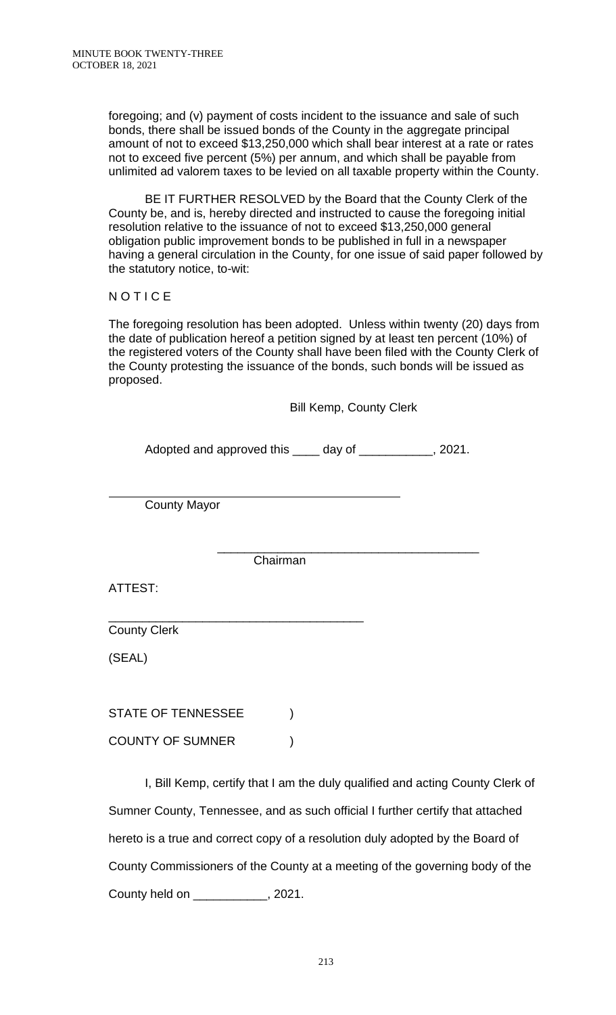foregoing; and (v) payment of costs incident to the issuance and sale of such bonds, there shall be issued bonds of the County in the aggregate principal amount of not to exceed \$13,250,000 which shall bear interest at a rate or rates not to exceed five percent (5%) per annum, and which shall be payable from unlimited ad valorem taxes to be levied on all taxable property within the County.

BE IT FURTHER RESOLVED by the Board that the County Clerk of the County be, and is, hereby directed and instructed to cause the foregoing initial resolution relative to the issuance of not to exceed \$13,250,000 general obligation public improvement bonds to be published in full in a newspaper having a general circulation in the County, for one issue of said paper followed by the statutory notice, to-wit:

**NOTICE** 

The foregoing resolution has been adopted. Unless within twenty (20) days from the date of publication hereof a petition signed by at least ten percent (10%) of the registered voters of the County shall have been filed with the County Clerk of the County protesting the issuance of the bonds, such bonds will be issued as proposed.

Bill Kemp, County Clerk

Adopted and approved this \_\_\_\_ day of \_\_\_\_\_\_\_\_\_\_\_, 2021.

County Mayor

\_\_\_\_\_\_\_\_\_\_\_\_\_\_\_\_\_\_\_\_\_\_\_\_\_\_\_\_\_\_\_\_\_\_\_\_\_\_\_ Chairman

ATTEST:

l

County Clerk

(SEAL)

STATE OF TENNESSEE  $)$ 

\_\_\_\_\_\_\_\_\_\_\_\_\_\_\_\_\_\_\_\_\_\_\_\_\_\_\_\_\_\_\_\_\_\_\_\_\_\_

COUNTY OF SUMNER  $)$ 

I, Bill Kemp, certify that I am the duly qualified and acting County Clerk of Sumner County, Tennessee, and as such official I further certify that attached hereto is a true and correct copy of a resolution duly adopted by the Board of County Commissioners of the County at a meeting of the governing body of the County held on \_\_\_\_\_\_\_\_\_\_\_, 2021.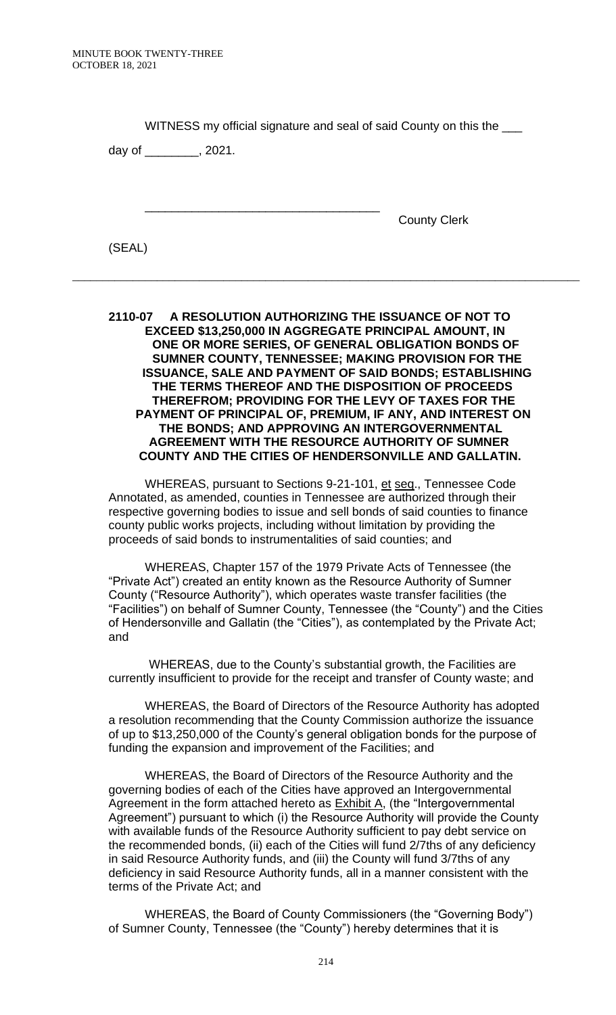| WITNESS my official signature and seal of said County on this the ____ |                         |                     |
|------------------------------------------------------------------------|-------------------------|---------------------|
|                                                                        | day of _________, 2021. |                     |
|                                                                        |                         |                     |
|                                                                        |                         |                     |
|                                                                        |                         | <b>County Clerk</b> |
| (SEAL)                                                                 |                         |                     |

### **2110-07 A RESOLUTION AUTHORIZING THE ISSUANCE OF NOT TO EXCEED \$13,250,000 IN AGGREGATE PRINCIPAL AMOUNT, IN ONE OR MORE SERIES, OF GENERAL OBLIGATION BONDS OF SUMNER COUNTY, TENNESSEE; MAKING PROVISION FOR THE ISSUANCE, SALE AND PAYMENT OF SAID BONDS; ESTABLISHING THE TERMS THEREOF AND THE DISPOSITION OF PROCEEDS THEREFROM; PROVIDING FOR THE LEVY OF TAXES FOR THE PAYMENT OF PRINCIPAL OF, PREMIUM, IF ANY, AND INTEREST ON THE BONDS; AND APPROVING AN INTERGOVERNMENTAL AGREEMENT WITH THE RESOURCE AUTHORITY OF SUMNER COUNTY AND THE CITIES OF HENDERSONVILLE AND GALLATIN.**

\_\_\_\_\_\_\_\_\_\_\_\_\_\_\_\_\_\_\_\_\_\_\_\_\_\_\_\_\_\_\_\_\_\_\_\_\_\_\_\_\_\_\_\_\_\_\_\_\_\_\_\_\_\_\_\_\_\_\_\_\_\_\_\_\_\_\_\_\_\_\_\_\_\_\_\_\_\_\_\_\_\_\_\_

WHEREAS, pursuant to Sections 9-21-101, et seq., Tennessee Code Annotated, as amended, counties in Tennessee are authorized through their respective governing bodies to issue and sell bonds of said counties to finance county public works projects, including without limitation by providing the proceeds of said bonds to instrumentalities of said counties; and

WHEREAS, Chapter 157 of the 1979 Private Acts of Tennessee (the "Private Act") created an entity known as the Resource Authority of Sumner County ("Resource Authority"), which operates waste transfer facilities (the "Facilities") on behalf of Sumner County, Tennessee (the "County") and the Cities of Hendersonville and Gallatin (the "Cities"), as contemplated by the Private Act; and

 WHEREAS, due to the County's substantial growth, the Facilities are currently insufficient to provide for the receipt and transfer of County waste; and

WHEREAS, the Board of Directors of the Resource Authority has adopted a resolution recommending that the County Commission authorize the issuance of up to \$13,250,000 of the County's general obligation bonds for the purpose of funding the expansion and improvement of the Facilities; and

WHEREAS, the Board of Directors of the Resource Authority and the governing bodies of each of the Cities have approved an Intergovernmental Agreement in the form attached hereto as **Exhibit A**, (the "Intergovernmental Agreement") pursuant to which (i) the Resource Authority will provide the County with available funds of the Resource Authority sufficient to pay debt service on the recommended bonds, (ii) each of the Cities will fund 2/7ths of any deficiency in said Resource Authority funds, and (iii) the County will fund 3/7ths of any deficiency in said Resource Authority funds, all in a manner consistent with the terms of the Private Act; and

WHEREAS, the Board of County Commissioners (the "Governing Body") of Sumner County, Tennessee (the "County") hereby determines that it is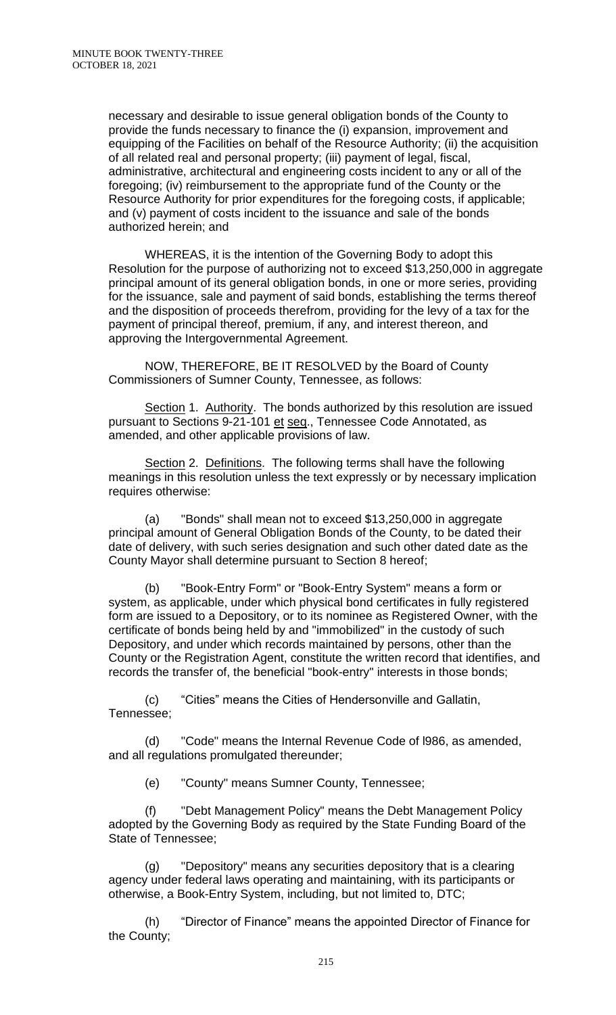necessary and desirable to issue general obligation bonds of the County to provide the funds necessary to finance the (i) expansion, improvement and equipping of the Facilities on behalf of the Resource Authority; (ii) the acquisition of all related real and personal property; (iii) payment of legal, fiscal, administrative, architectural and engineering costs incident to any or all of the foregoing; (iv) reimbursement to the appropriate fund of the County or the Resource Authority for prior expenditures for the foregoing costs, if applicable; and (v) payment of costs incident to the issuance and sale of the bonds authorized herein; and

WHEREAS, it is the intention of the Governing Body to adopt this Resolution for the purpose of authorizing not to exceed \$13,250,000 in aggregate principal amount of its general obligation bonds, in one or more series, providing for the issuance, sale and payment of said bonds, establishing the terms thereof and the disposition of proceeds therefrom, providing for the levy of a tax for the payment of principal thereof, premium, if any, and interest thereon, and approving the Intergovernmental Agreement.

NOW, THEREFORE, BE IT RESOLVED by the Board of County Commissioners of Sumner County, Tennessee, as follows:

Section 1. Authority. The bonds authorized by this resolution are issued pursuant to Sections 9-21-101 et seq., Tennessee Code Annotated, as amended, and other applicable provisions of law.

Section 2. Definitions. The following terms shall have the following meanings in this resolution unless the text expressly or by necessary implication requires otherwise:

(a) "Bonds" shall mean not to exceed \$13,250,000 in aggregate principal amount of General Obligation Bonds of the County, to be dated their date of delivery, with such series designation and such other dated date as the County Mayor shall determine pursuant to Section 8 hereof;

(b) "Book-Entry Form" or "Book-Entry System" means a form or system, as applicable, under which physical bond certificates in fully registered form are issued to a Depository, or to its nominee as Registered Owner, with the certificate of bonds being held by and "immobilized" in the custody of such Depository, and under which records maintained by persons, other than the County or the Registration Agent, constitute the written record that identifies, and records the transfer of, the beneficial "book-entry" interests in those bonds;

(c) "Cities" means the Cities of Hendersonville and Gallatin, Tennessee;

(d) "Code" means the Internal Revenue Code of l986, as amended, and all regulations promulgated thereunder;

(e) "County" means Sumner County, Tennessee;

"Debt Management Policy" means the Debt Management Policy adopted by the Governing Body as required by the State Funding Board of the State of Tennessee;

(g) "Depository" means any securities depository that is a clearing agency under federal laws operating and maintaining, with its participants or otherwise, a Book-Entry System, including, but not limited to, DTC;

(h) "Director of Finance" means the appointed Director of Finance for the County;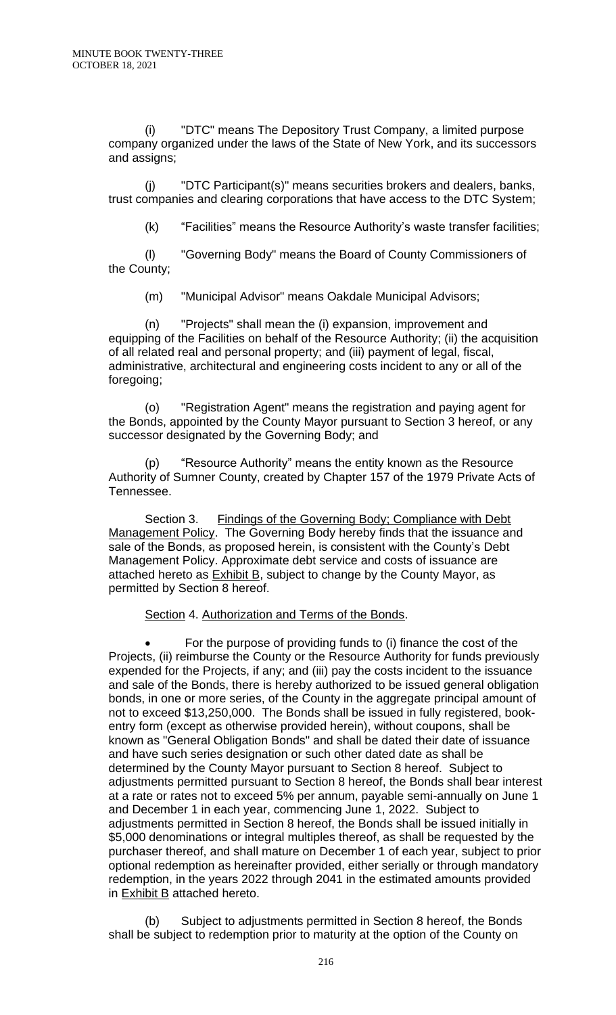(i) "DTC" means The Depository Trust Company, a limited purpose company organized under the laws of the State of New York, and its successors and assigns;

(j) "DTC Participant(s)" means securities brokers and dealers, banks, trust companies and clearing corporations that have access to the DTC System;

(k) "Facilities" means the Resource Authority's waste transfer facilities;

(l) "Governing Body" means the Board of County Commissioners of the County;

(m) "Municipal Advisor" means Oakdale Municipal Advisors;

(n) "Projects" shall mean the (i) expansion, improvement and equipping of the Facilities on behalf of the Resource Authority; (ii) the acquisition of all related real and personal property; and (iii) payment of legal, fiscal, administrative, architectural and engineering costs incident to any or all of the foregoing;

(o) "Registration Agent" means the registration and paying agent for the Bonds, appointed by the County Mayor pursuant to Section 3 hereof, or any successor designated by the Governing Body; and

(p) "Resource Authority" means the entity known as the Resource Authority of Sumner County, created by Chapter 157 of the 1979 Private Acts of Tennessee.

Section 3. Findings of the Governing Body; Compliance with Debt Management Policy. The Governing Body hereby finds that the issuance and sale of the Bonds, as proposed herein, is consistent with the County's Debt Management Policy. Approximate debt service and costs of issuance are attached hereto as Exhibit B, subject to change by the County Mayor, as permitted by Section 8 hereof.

## Section 4. Authorization and Terms of the Bonds.

• For the purpose of providing funds to (i) finance the cost of the Projects, (ii) reimburse the County or the Resource Authority for funds previously expended for the Projects, if any; and (iii) pay the costs incident to the issuance and sale of the Bonds, there is hereby authorized to be issued general obligation bonds, in one or more series, of the County in the aggregate principal amount of not to exceed \$13,250,000. The Bonds shall be issued in fully registered, bookentry form (except as otherwise provided herein), without coupons, shall be known as "General Obligation Bonds" and shall be dated their date of issuance and have such series designation or such other dated date as shall be determined by the County Mayor pursuant to Section 8 hereof. Subject to adjustments permitted pursuant to Section 8 hereof, the Bonds shall bear interest at a rate or rates not to exceed 5% per annum, payable semi-annually on June 1 and December 1 in each year, commencing June 1, 2022. Subject to adjustments permitted in Section 8 hereof, the Bonds shall be issued initially in \$5,000 denominations or integral multiples thereof, as shall be requested by the purchaser thereof, and shall mature on December 1 of each year, subject to prior optional redemption as hereinafter provided, either serially or through mandatory redemption, in the years 2022 through 2041 in the estimated amounts provided in **Exhibit B** attached hereto.

(b) Subject to adjustments permitted in Section 8 hereof, the Bonds shall be subject to redemption prior to maturity at the option of the County on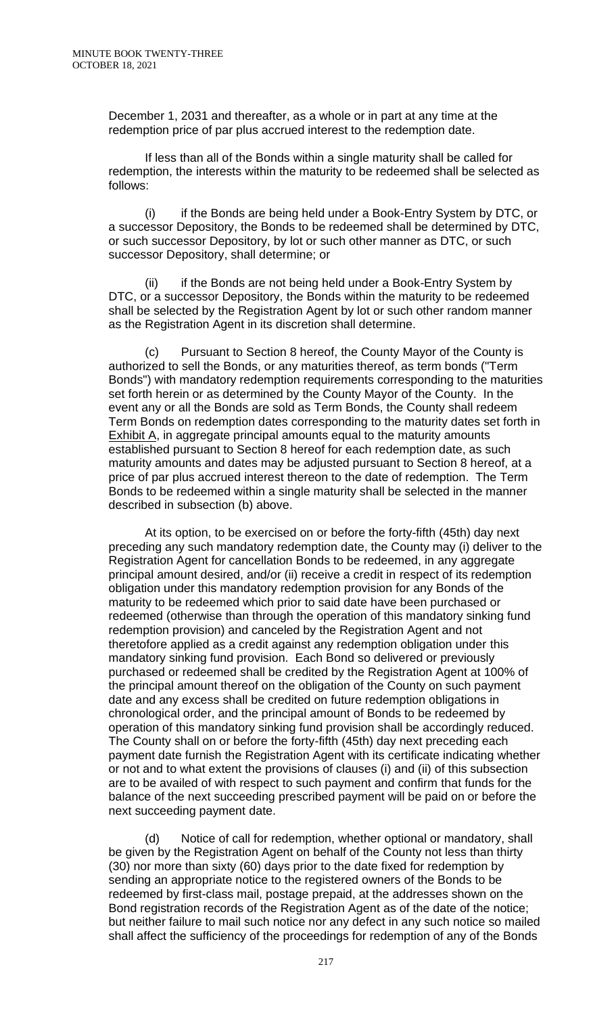December 1, 2031 and thereafter, as a whole or in part at any time at the redemption price of par plus accrued interest to the redemption date.

If less than all of the Bonds within a single maturity shall be called for redemption, the interests within the maturity to be redeemed shall be selected as follows:

(i) if the Bonds are being held under a Book-Entry System by DTC, or a successor Depository, the Bonds to be redeemed shall be determined by DTC, or such successor Depository, by lot or such other manner as DTC, or such successor Depository, shall determine; or

(ii) if the Bonds are not being held under a Book-Entry System by DTC, or a successor Depository, the Bonds within the maturity to be redeemed shall be selected by the Registration Agent by lot or such other random manner as the Registration Agent in its discretion shall determine.

(c) Pursuant to Section 8 hereof, the County Mayor of the County is authorized to sell the Bonds, or any maturities thereof, as term bonds ("Term Bonds") with mandatory redemption requirements corresponding to the maturities set forth herein or as determined by the County Mayor of the County. In the event any or all the Bonds are sold as Term Bonds, the County shall redeem Term Bonds on redemption dates corresponding to the maturity dates set forth in Exhibit A, in aggregate principal amounts equal to the maturity amounts established pursuant to Section 8 hereof for each redemption date, as such maturity amounts and dates may be adjusted pursuant to Section 8 hereof, at a price of par plus accrued interest thereon to the date of redemption. The Term Bonds to be redeemed within a single maturity shall be selected in the manner described in subsection (b) above.

At its option, to be exercised on or before the forty-fifth (45th) day next preceding any such mandatory redemption date, the County may (i) deliver to the Registration Agent for cancellation Bonds to be redeemed, in any aggregate principal amount desired, and/or (ii) receive a credit in respect of its redemption obligation under this mandatory redemption provision for any Bonds of the maturity to be redeemed which prior to said date have been purchased or redeemed (otherwise than through the operation of this mandatory sinking fund redemption provision) and canceled by the Registration Agent and not theretofore applied as a credit against any redemption obligation under this mandatory sinking fund provision. Each Bond so delivered or previously purchased or redeemed shall be credited by the Registration Agent at 100% of the principal amount thereof on the obligation of the County on such payment date and any excess shall be credited on future redemption obligations in chronological order, and the principal amount of Bonds to be redeemed by operation of this mandatory sinking fund provision shall be accordingly reduced. The County shall on or before the forty-fifth (45th) day next preceding each payment date furnish the Registration Agent with its certificate indicating whether or not and to what extent the provisions of clauses (i) and (ii) of this subsection are to be availed of with respect to such payment and confirm that funds for the balance of the next succeeding prescribed payment will be paid on or before the next succeeding payment date.

(d) Notice of call for redemption, whether optional or mandatory, shall be given by the Registration Agent on behalf of the County not less than thirty (30) nor more than sixty (60) days prior to the date fixed for redemption by sending an appropriate notice to the registered owners of the Bonds to be redeemed by first-class mail, postage prepaid, at the addresses shown on the Bond registration records of the Registration Agent as of the date of the notice; but neither failure to mail such notice nor any defect in any such notice so mailed shall affect the sufficiency of the proceedings for redemption of any of the Bonds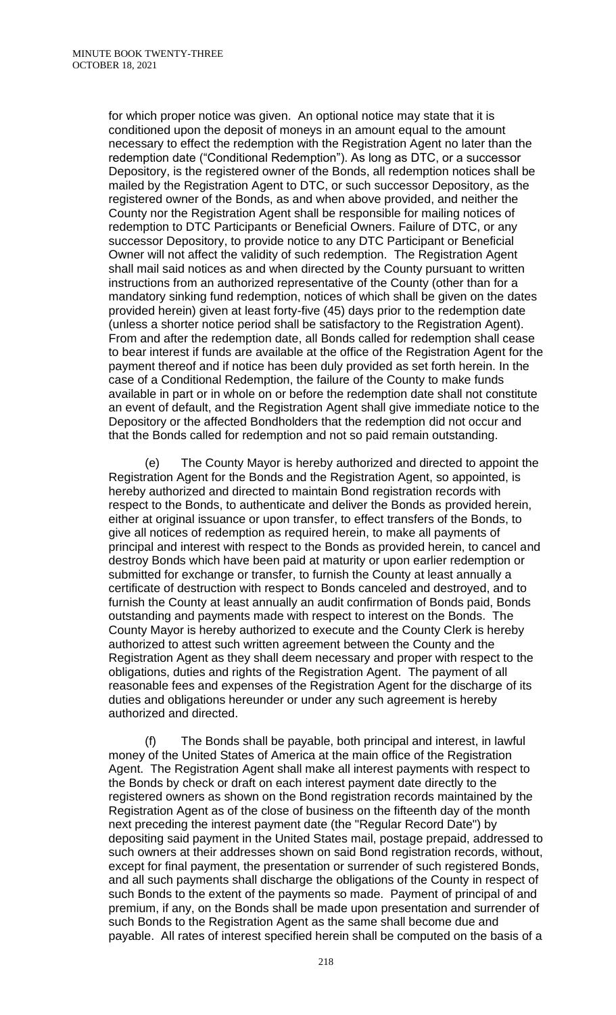for which proper notice was given. An optional notice may state that it is conditioned upon the deposit of moneys in an amount equal to the amount necessary to effect the redemption with the Registration Agent no later than the redemption date ("Conditional Redemption"). As long as DTC, or a successor Depository, is the registered owner of the Bonds, all redemption notices shall be mailed by the Registration Agent to DTC, or such successor Depository, as the registered owner of the Bonds, as and when above provided, and neither the County nor the Registration Agent shall be responsible for mailing notices of redemption to DTC Participants or Beneficial Owners. Failure of DTC, or any successor Depository, to provide notice to any DTC Participant or Beneficial Owner will not affect the validity of such redemption. The Registration Agent shall mail said notices as and when directed by the County pursuant to written instructions from an authorized representative of the County (other than for a mandatory sinking fund redemption, notices of which shall be given on the dates provided herein) given at least forty-five (45) days prior to the redemption date (unless a shorter notice period shall be satisfactory to the Registration Agent). From and after the redemption date, all Bonds called for redemption shall cease to bear interest if funds are available at the office of the Registration Agent for the payment thereof and if notice has been duly provided as set forth herein. In the case of a Conditional Redemption, the failure of the County to make funds available in part or in whole on or before the redemption date shall not constitute an event of default, and the Registration Agent shall give immediate notice to the Depository or the affected Bondholders that the redemption did not occur and that the Bonds called for redemption and not so paid remain outstanding.

(e) The County Mayor is hereby authorized and directed to appoint the Registration Agent for the Bonds and the Registration Agent, so appointed, is hereby authorized and directed to maintain Bond registration records with respect to the Bonds, to authenticate and deliver the Bonds as provided herein, either at original issuance or upon transfer, to effect transfers of the Bonds, to give all notices of redemption as required herein, to make all payments of principal and interest with respect to the Bonds as provided herein, to cancel and destroy Bonds which have been paid at maturity or upon earlier redemption or submitted for exchange or transfer, to furnish the County at least annually a certificate of destruction with respect to Bonds canceled and destroyed, and to furnish the County at least annually an audit confirmation of Bonds paid, Bonds outstanding and payments made with respect to interest on the Bonds. The County Mayor is hereby authorized to execute and the County Clerk is hereby authorized to attest such written agreement between the County and the Registration Agent as they shall deem necessary and proper with respect to the obligations, duties and rights of the Registration Agent. The payment of all reasonable fees and expenses of the Registration Agent for the discharge of its duties and obligations hereunder or under any such agreement is hereby authorized and directed.

(f) The Bonds shall be payable, both principal and interest, in lawful money of the United States of America at the main office of the Registration Agent. The Registration Agent shall make all interest payments with respect to the Bonds by check or draft on each interest payment date directly to the registered owners as shown on the Bond registration records maintained by the Registration Agent as of the close of business on the fifteenth day of the month next preceding the interest payment date (the "Regular Record Date") by depositing said payment in the United States mail, postage prepaid, addressed to such owners at their addresses shown on said Bond registration records, without, except for final payment, the presentation or surrender of such registered Bonds, and all such payments shall discharge the obligations of the County in respect of such Bonds to the extent of the payments so made. Payment of principal of and premium, if any, on the Bonds shall be made upon presentation and surrender of such Bonds to the Registration Agent as the same shall become due and payable. All rates of interest specified herein shall be computed on the basis of a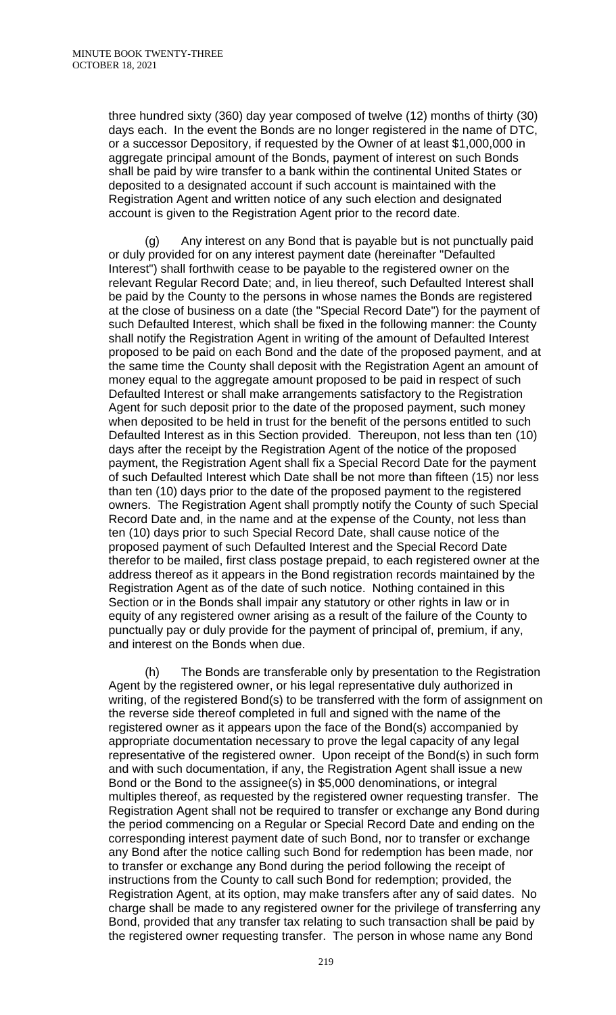three hundred sixty (360) day year composed of twelve (12) months of thirty (30) days each. In the event the Bonds are no longer registered in the name of DTC, or a successor Depository, if requested by the Owner of at least \$1,000,000 in aggregate principal amount of the Bonds, payment of interest on such Bonds shall be paid by wire transfer to a bank within the continental United States or deposited to a designated account if such account is maintained with the Registration Agent and written notice of any such election and designated account is given to the Registration Agent prior to the record date.

(g) Any interest on any Bond that is payable but is not punctually paid or duly provided for on any interest payment date (hereinafter "Defaulted Interest") shall forthwith cease to be payable to the registered owner on the relevant Regular Record Date; and, in lieu thereof, such Defaulted Interest shall be paid by the County to the persons in whose names the Bonds are registered at the close of business on a date (the "Special Record Date") for the payment of such Defaulted Interest, which shall be fixed in the following manner: the County shall notify the Registration Agent in writing of the amount of Defaulted Interest proposed to be paid on each Bond and the date of the proposed payment, and at the same time the County shall deposit with the Registration Agent an amount of money equal to the aggregate amount proposed to be paid in respect of such Defaulted Interest or shall make arrangements satisfactory to the Registration Agent for such deposit prior to the date of the proposed payment, such money when deposited to be held in trust for the benefit of the persons entitled to such Defaulted Interest as in this Section provided. Thereupon, not less than ten (10) days after the receipt by the Registration Agent of the notice of the proposed payment, the Registration Agent shall fix a Special Record Date for the payment of such Defaulted Interest which Date shall be not more than fifteen (15) nor less than ten (10) days prior to the date of the proposed payment to the registered owners. The Registration Agent shall promptly notify the County of such Special Record Date and, in the name and at the expense of the County, not less than ten (10) days prior to such Special Record Date, shall cause notice of the proposed payment of such Defaulted Interest and the Special Record Date therefor to be mailed, first class postage prepaid, to each registered owner at the address thereof as it appears in the Bond registration records maintained by the Registration Agent as of the date of such notice. Nothing contained in this Section or in the Bonds shall impair any statutory or other rights in law or in equity of any registered owner arising as a result of the failure of the County to punctually pay or duly provide for the payment of principal of, premium, if any, and interest on the Bonds when due.

(h) The Bonds are transferable only by presentation to the Registration Agent by the registered owner, or his legal representative duly authorized in writing, of the registered Bond(s) to be transferred with the form of assignment on the reverse side thereof completed in full and signed with the name of the registered owner as it appears upon the face of the Bond(s) accompanied by appropriate documentation necessary to prove the legal capacity of any legal representative of the registered owner. Upon receipt of the Bond(s) in such form and with such documentation, if any, the Registration Agent shall issue a new Bond or the Bond to the assignee(s) in \$5,000 denominations, or integral multiples thereof, as requested by the registered owner requesting transfer. The Registration Agent shall not be required to transfer or exchange any Bond during the period commencing on a Regular or Special Record Date and ending on the corresponding interest payment date of such Bond, nor to transfer or exchange any Bond after the notice calling such Bond for redemption has been made, nor to transfer or exchange any Bond during the period following the receipt of instructions from the County to call such Bond for redemption; provided, the Registration Agent, at its option, may make transfers after any of said dates. No charge shall be made to any registered owner for the privilege of transferring any Bond, provided that any transfer tax relating to such transaction shall be paid by the registered owner requesting transfer. The person in whose name any Bond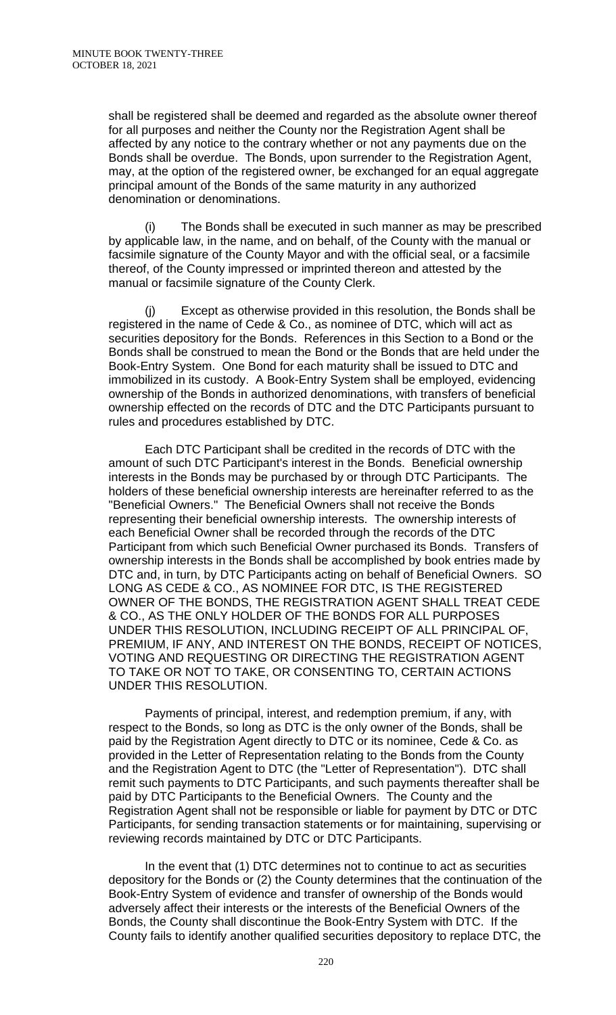shall be registered shall be deemed and regarded as the absolute owner thereof for all purposes and neither the County nor the Registration Agent shall be affected by any notice to the contrary whether or not any payments due on the Bonds shall be overdue. The Bonds, upon surrender to the Registration Agent, may, at the option of the registered owner, be exchanged for an equal aggregate principal amount of the Bonds of the same maturity in any authorized denomination or denominations.

(i) The Bonds shall be executed in such manner as may be prescribed by applicable law, in the name, and on behalf, of the County with the manual or facsimile signature of the County Mayor and with the official seal, or a facsimile thereof, of the County impressed or imprinted thereon and attested by the manual or facsimile signature of the County Clerk.

(j) Except as otherwise provided in this resolution, the Bonds shall be registered in the name of Cede & Co., as nominee of DTC, which will act as securities depository for the Bonds. References in this Section to a Bond or the Bonds shall be construed to mean the Bond or the Bonds that are held under the Book-Entry System. One Bond for each maturity shall be issued to DTC and immobilized in its custody. A Book-Entry System shall be employed, evidencing ownership of the Bonds in authorized denominations, with transfers of beneficial ownership effected on the records of DTC and the DTC Participants pursuant to rules and procedures established by DTC.

Each DTC Participant shall be credited in the records of DTC with the amount of such DTC Participant's interest in the Bonds. Beneficial ownership interests in the Bonds may be purchased by or through DTC Participants. The holders of these beneficial ownership interests are hereinafter referred to as the "Beneficial Owners." The Beneficial Owners shall not receive the Bonds representing their beneficial ownership interests. The ownership interests of each Beneficial Owner shall be recorded through the records of the DTC Participant from which such Beneficial Owner purchased its Bonds. Transfers of ownership interests in the Bonds shall be accomplished by book entries made by DTC and, in turn, by DTC Participants acting on behalf of Beneficial Owners. SO LONG AS CEDE & CO., AS NOMINEE FOR DTC, IS THE REGISTERED OWNER OF THE BONDS, THE REGISTRATION AGENT SHALL TREAT CEDE & CO., AS THE ONLY HOLDER OF THE BONDS FOR ALL PURPOSES UNDER THIS RESOLUTION, INCLUDING RECEIPT OF ALL PRINCIPAL OF, PREMIUM, IF ANY, AND INTEREST ON THE BONDS, RECEIPT OF NOTICES, VOTING AND REQUESTING OR DIRECTING THE REGISTRATION AGENT TO TAKE OR NOT TO TAKE, OR CONSENTING TO, CERTAIN ACTIONS UNDER THIS RESOLUTION.

Payments of principal, interest, and redemption premium, if any, with respect to the Bonds, so long as DTC is the only owner of the Bonds, shall be paid by the Registration Agent directly to DTC or its nominee, Cede & Co. as provided in the Letter of Representation relating to the Bonds from the County and the Registration Agent to DTC (the "Letter of Representation"). DTC shall remit such payments to DTC Participants, and such payments thereafter shall be paid by DTC Participants to the Beneficial Owners. The County and the Registration Agent shall not be responsible or liable for payment by DTC or DTC Participants, for sending transaction statements or for maintaining, supervising or reviewing records maintained by DTC or DTC Participants.

In the event that (1) DTC determines not to continue to act as securities depository for the Bonds or (2) the County determines that the continuation of the Book-Entry System of evidence and transfer of ownership of the Bonds would adversely affect their interests or the interests of the Beneficial Owners of the Bonds, the County shall discontinue the Book-Entry System with DTC. If the County fails to identify another qualified securities depository to replace DTC, the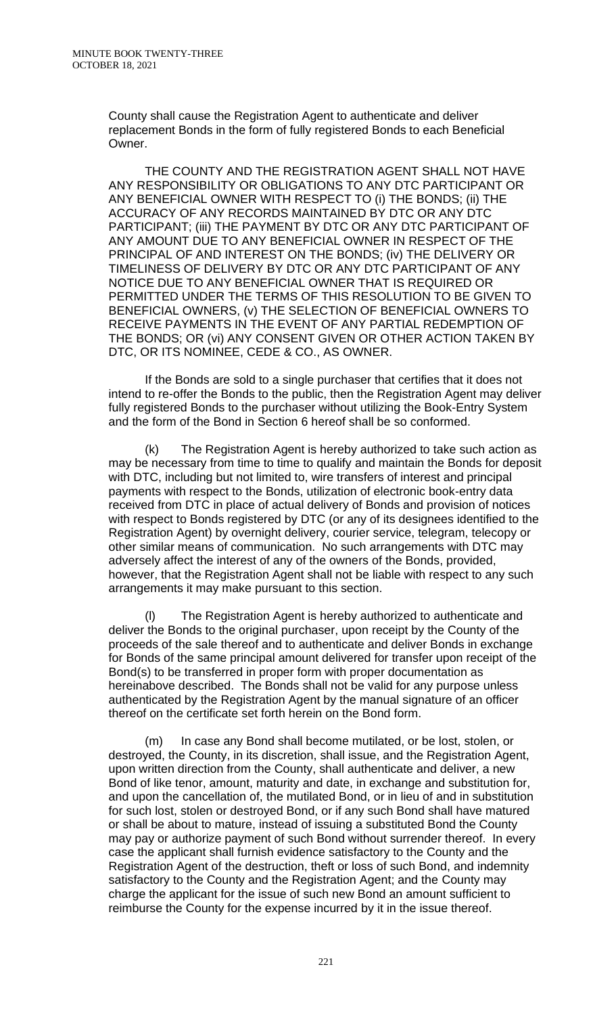County shall cause the Registration Agent to authenticate and deliver replacement Bonds in the form of fully registered Bonds to each Beneficial Owner.

THE COUNTY AND THE REGISTRATION AGENT SHALL NOT HAVE ANY RESPONSIBILITY OR OBLIGATIONS TO ANY DTC PARTICIPANT OR ANY BENEFICIAL OWNER WITH RESPECT TO (i) THE BONDS; (ii) THE ACCURACY OF ANY RECORDS MAINTAINED BY DTC OR ANY DTC PARTICIPANT; (iii) THE PAYMENT BY DTC OR ANY DTC PARTICIPANT OF ANY AMOUNT DUE TO ANY BENEFICIAL OWNER IN RESPECT OF THE PRINCIPAL OF AND INTEREST ON THE BONDS; (iv) THE DELIVERY OR TIMELINESS OF DELIVERY BY DTC OR ANY DTC PARTICIPANT OF ANY NOTICE DUE TO ANY BENEFICIAL OWNER THAT IS REQUIRED OR PERMITTED UNDER THE TERMS OF THIS RESOLUTION TO BE GIVEN TO BENEFICIAL OWNERS, (v) THE SELECTION OF BENEFICIAL OWNERS TO RECEIVE PAYMENTS IN THE EVENT OF ANY PARTIAL REDEMPTION OF THE BONDS; OR (vi) ANY CONSENT GIVEN OR OTHER ACTION TAKEN BY DTC, OR ITS NOMINEE, CEDE & CO., AS OWNER.

If the Bonds are sold to a single purchaser that certifies that it does not intend to re-offer the Bonds to the public, then the Registration Agent may deliver fully registered Bonds to the purchaser without utilizing the Book-Entry System and the form of the Bond in Section 6 hereof shall be so conformed.

The Registration Agent is hereby authorized to take such action as may be necessary from time to time to qualify and maintain the Bonds for deposit with DTC, including but not limited to, wire transfers of interest and principal payments with respect to the Bonds, utilization of electronic book-entry data received from DTC in place of actual delivery of Bonds and provision of notices with respect to Bonds registered by DTC (or any of its designees identified to the Registration Agent) by overnight delivery, courier service, telegram, telecopy or other similar means of communication. No such arrangements with DTC may adversely affect the interest of any of the owners of the Bonds, provided, however, that the Registration Agent shall not be liable with respect to any such arrangements it may make pursuant to this section.

The Registration Agent is hereby authorized to authenticate and deliver the Bonds to the original purchaser, upon receipt by the County of the proceeds of the sale thereof and to authenticate and deliver Bonds in exchange for Bonds of the same principal amount delivered for transfer upon receipt of the Bond(s) to be transferred in proper form with proper documentation as hereinabove described. The Bonds shall not be valid for any purpose unless authenticated by the Registration Agent by the manual signature of an officer thereof on the certificate set forth herein on the Bond form.

(m) In case any Bond shall become mutilated, or be lost, stolen, or destroyed, the County, in its discretion, shall issue, and the Registration Agent, upon written direction from the County, shall authenticate and deliver, a new Bond of like tenor, amount, maturity and date, in exchange and substitution for, and upon the cancellation of, the mutilated Bond, or in lieu of and in substitution for such lost, stolen or destroyed Bond, or if any such Bond shall have matured or shall be about to mature, instead of issuing a substituted Bond the County may pay or authorize payment of such Bond without surrender thereof. In every case the applicant shall furnish evidence satisfactory to the County and the Registration Agent of the destruction, theft or loss of such Bond, and indemnity satisfactory to the County and the Registration Agent; and the County may charge the applicant for the issue of such new Bond an amount sufficient to reimburse the County for the expense incurred by it in the issue thereof.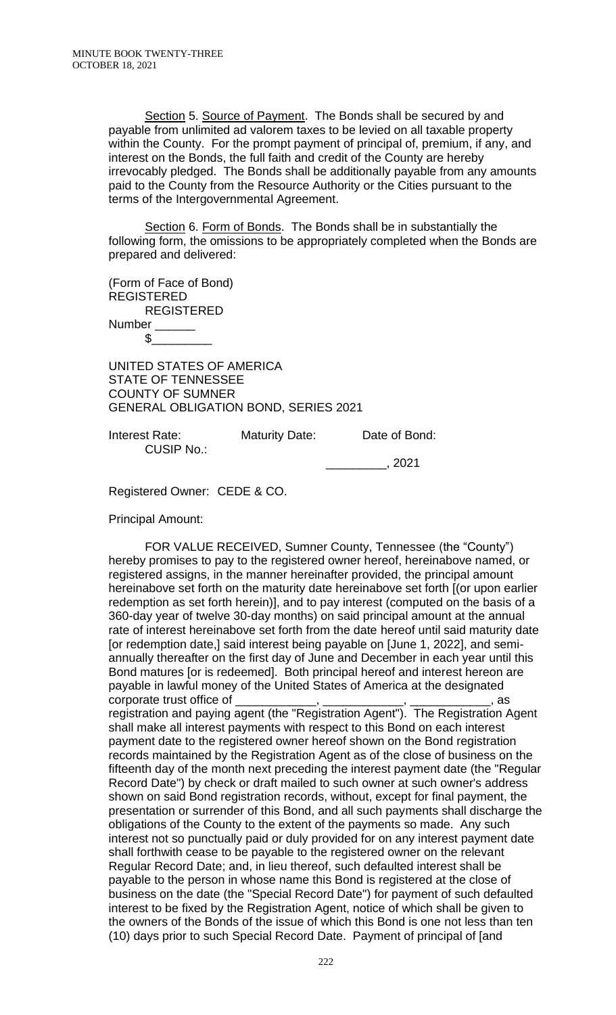Section 5. Source of Payment. The Bonds shall be secured by and payable from unlimited ad valorem taxes to be levied on all taxable property within the County. For the prompt payment of principal of, premium, if any, and interest on the Bonds, the full faith and credit of the County are hereby irrevocably pledged. The Bonds shall be additionally payable from any amounts paid to the County from the Resource Authority or the Cities pursuant to the terms of the Intergovernmental Agreement.

Section 6. Form of Bonds. The Bonds shall be in substantially the following form, the omissions to be appropriately completed when the Bonds are prepared and delivered:

(Form of Face of Bond) REGISTERED REGISTERED Number \_\_\_\_\_\_\_

 $$_-$ 

UNITED STATES OF AMERICA STATE OF TENNESSEE COUNTY OF SUMNER GENERAL OBLIGATION BOND, SERIES 2021

Interest Rate: Maturity Date: Date of Bond: CUSIP No.:

\_\_\_\_\_\_\_\_\_, 2021

Registered Owner: CEDE & CO.

Principal Amount:

FOR VALUE RECEIVED, Sumner County, Tennessee (the "County") hereby promises to pay to the registered owner hereof, hereinabove named, or registered assigns, in the manner hereinafter provided, the principal amount hereinabove set forth on the maturity date hereinabove set forth [(or upon earlier redemption as set forth herein)], and to pay interest (computed on the basis of a 360-day year of twelve 30-day months) on said principal amount at the annual rate of interest hereinabove set forth from the date hereof until said maturity date [or redemption date,] said interest being payable on [June 1, 2022], and semiannually thereafter on the first day of June and December in each year until this Bond matures [or is redeemed]. Both principal hereof and interest hereon are payable in lawful money of the United States of America at the designated corporate trust office of  $\frac{1}{\sqrt{1-\frac{1}{2}}\sqrt{1-\frac{1}{2}}\sqrt{1-\frac{1}{2}}\sqrt{1-\frac{1}{2}}\sqrt{1-\frac{1}{2}}\sqrt{1-\frac{1}{2}}\sqrt{1-\frac{1}{2}}\sqrt{1-\frac{1}{2}}\sqrt{1-\frac{1}{2}}\sqrt{1-\frac{1}{2}}\sqrt{1-\frac{1}{2}}\sqrt{1-\frac{1}{2}}\sqrt{1-\frac{1}{2}}\sqrt{1-\frac{1}{2}}\sqrt{1-\frac{1}{2}}\sqrt{1-\frac{1}{2}}\sqrt{1-\frac{1}{2}}\sqrt$ registration and paying agent (the "Registration Agent"). The Registration Agent shall make all interest payments with respect to this Bond on each interest payment date to the registered owner hereof shown on the Bond registration records maintained by the Registration Agent as of the close of business on the fifteenth day of the month next preceding the interest payment date (the "Regular Record Date") by check or draft mailed to such owner at such owner's address shown on said Bond registration records, without, except for final payment, the presentation or surrender of this Bond, and all such payments shall discharge the obligations of the County to the extent of the payments so made. Any such interest not so punctually paid or duly provided for on any interest payment date shall forthwith cease to be payable to the registered owner on the relevant Regular Record Date; and, in lieu thereof, such defaulted interest shall be payable to the person in whose name this Bond is registered at the close of business on the date (the "Special Record Date") for payment of such defaulted interest to be fixed by the Registration Agent, notice of which shall be given to the owners of the Bonds of the issue of which this Bond is one not less than ten (10) days prior to such Special Record Date. Payment of principal of [and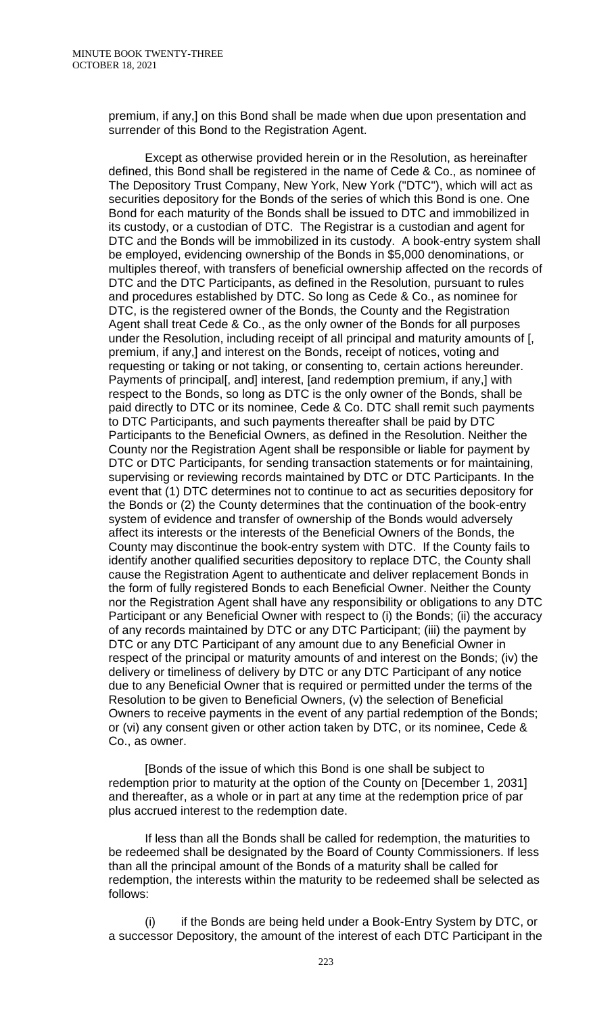premium, if any,] on this Bond shall be made when due upon presentation and surrender of this Bond to the Registration Agent.

Except as otherwise provided herein or in the Resolution, as hereinafter defined, this Bond shall be registered in the name of Cede & Co., as nominee of The Depository Trust Company, New York, New York ("DTC"), which will act as securities depository for the Bonds of the series of which this Bond is one. One Bond for each maturity of the Bonds shall be issued to DTC and immobilized in its custody, or a custodian of DTC. The Registrar is a custodian and agent for DTC and the Bonds will be immobilized in its custody. A book-entry system shall be employed, evidencing ownership of the Bonds in \$5,000 denominations, or multiples thereof, with transfers of beneficial ownership affected on the records of DTC and the DTC Participants, as defined in the Resolution, pursuant to rules and procedures established by DTC. So long as Cede & Co., as nominee for DTC, is the registered owner of the Bonds, the County and the Registration Agent shall treat Cede & Co., as the only owner of the Bonds for all purposes under the Resolution, including receipt of all principal and maturity amounts of [, premium, if any,] and interest on the Bonds, receipt of notices, voting and requesting or taking or not taking, or consenting to, certain actions hereunder. Payments of principal[, and] interest, [and redemption premium, if any,] with respect to the Bonds, so long as DTC is the only owner of the Bonds, shall be paid directly to DTC or its nominee, Cede & Co. DTC shall remit such payments to DTC Participants, and such payments thereafter shall be paid by DTC Participants to the Beneficial Owners, as defined in the Resolution. Neither the County nor the Registration Agent shall be responsible or liable for payment by DTC or DTC Participants, for sending transaction statements or for maintaining, supervising or reviewing records maintained by DTC or DTC Participants. In the event that (1) DTC determines not to continue to act as securities depository for the Bonds or (2) the County determines that the continuation of the book-entry system of evidence and transfer of ownership of the Bonds would adversely affect its interests or the interests of the Beneficial Owners of the Bonds, the County may discontinue the book-entry system with DTC. If the County fails to identify another qualified securities depository to replace DTC, the County shall cause the Registration Agent to authenticate and deliver replacement Bonds in the form of fully registered Bonds to each Beneficial Owner. Neither the County nor the Registration Agent shall have any responsibility or obligations to any DTC Participant or any Beneficial Owner with respect to (i) the Bonds; (ii) the accuracy of any records maintained by DTC or any DTC Participant; (iii) the payment by DTC or any DTC Participant of any amount due to any Beneficial Owner in respect of the principal or maturity amounts of and interest on the Bonds; (iv) the delivery or timeliness of delivery by DTC or any DTC Participant of any notice due to any Beneficial Owner that is required or permitted under the terms of the Resolution to be given to Beneficial Owners, (v) the selection of Beneficial Owners to receive payments in the event of any partial redemption of the Bonds; or (vi) any consent given or other action taken by DTC, or its nominee, Cede & Co., as owner.

[Bonds of the issue of which this Bond is one shall be subject to redemption prior to maturity at the option of the County on [December 1, 2031] and thereafter, as a whole or in part at any time at the redemption price of par plus accrued interest to the redemption date.

If less than all the Bonds shall be called for redemption, the maturities to be redeemed shall be designated by the Board of County Commissioners. If less than all the principal amount of the Bonds of a maturity shall be called for redemption, the interests within the maturity to be redeemed shall be selected as follows:

(i) if the Bonds are being held under a Book-Entry System by DTC, or a successor Depository, the amount of the interest of each DTC Participant in the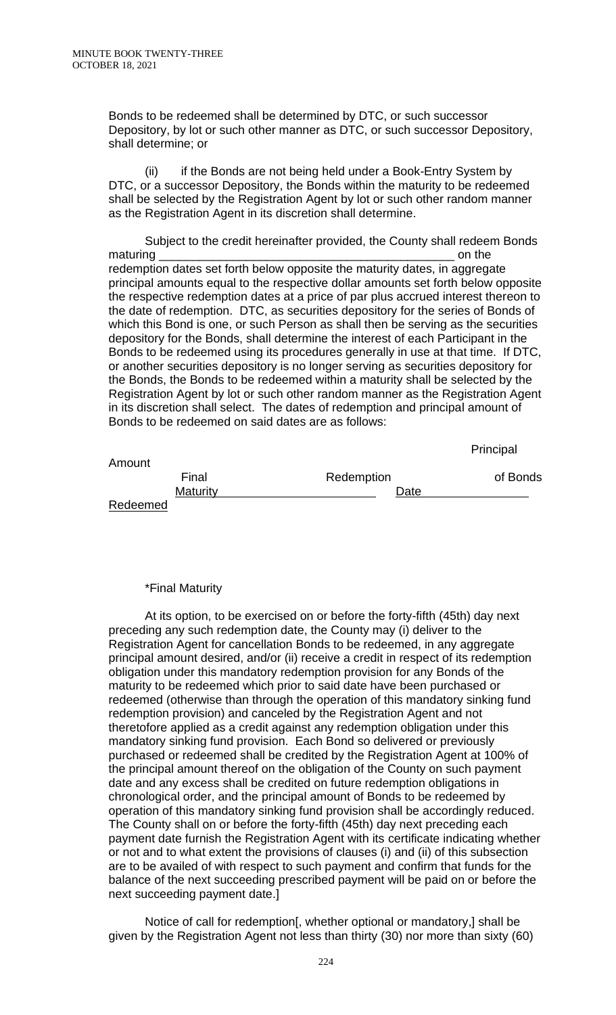Bonds to be redeemed shall be determined by DTC, or such successor Depository, by lot or such other manner as DTC, or such successor Depository, shall determine; or

(ii) if the Bonds are not being held under a Book-Entry System by DTC, or a successor Depository, the Bonds within the maturity to be redeemed shall be selected by the Registration Agent by lot or such other random manner as the Registration Agent in its discretion shall determine.

Subject to the credit hereinafter provided, the County shall redeem Bonds maturing and the contract of the contract of the contract of the contract of the contract of the contract of the redemption dates set forth below opposite the maturity dates, in aggregate principal amounts equal to the respective dollar amounts set forth below opposite the respective redemption dates at a price of par plus accrued interest thereon to the date of redemption. DTC, as securities depository for the series of Bonds of which this Bond is one, or such Person as shall then be serving as the securities depository for the Bonds, shall determine the interest of each Participant in the Bonds to be redeemed using its procedures generally in use at that time. If DTC, or another securities depository is no longer serving as securities depository for the Bonds, the Bonds to be redeemed within a maturity shall be selected by the Registration Agent by lot or such other random manner as the Registration Agent in its discretion shall select. The dates of redemption and principal amount of Bonds to be redeemed on said dates are as follows:

|                 |            | Principal |
|-----------------|------------|-----------|
| Amount          |            |           |
| Final           | Redemption | of Bonds  |
| <b>Maturity</b> | Date       |           |
| Redeemed        |            |           |

## \*Final Maturity

At its option, to be exercised on or before the forty-fifth (45th) day next preceding any such redemption date, the County may (i) deliver to the Registration Agent for cancellation Bonds to be redeemed, in any aggregate principal amount desired, and/or (ii) receive a credit in respect of its redemption obligation under this mandatory redemption provision for any Bonds of the maturity to be redeemed which prior to said date have been purchased or redeemed (otherwise than through the operation of this mandatory sinking fund redemption provision) and canceled by the Registration Agent and not theretofore applied as a credit against any redemption obligation under this mandatory sinking fund provision. Each Bond so delivered or previously purchased or redeemed shall be credited by the Registration Agent at 100% of the principal amount thereof on the obligation of the County on such payment date and any excess shall be credited on future redemption obligations in chronological order, and the principal amount of Bonds to be redeemed by operation of this mandatory sinking fund provision shall be accordingly reduced. The County shall on or before the forty-fifth (45th) day next preceding each payment date furnish the Registration Agent with its certificate indicating whether or not and to what extent the provisions of clauses (i) and (ii) of this subsection are to be availed of with respect to such payment and confirm that funds for the balance of the next succeeding prescribed payment will be paid on or before the next succeeding payment date.]

Notice of call for redemption[, whether optional or mandatory,] shall be given by the Registration Agent not less than thirty (30) nor more than sixty (60)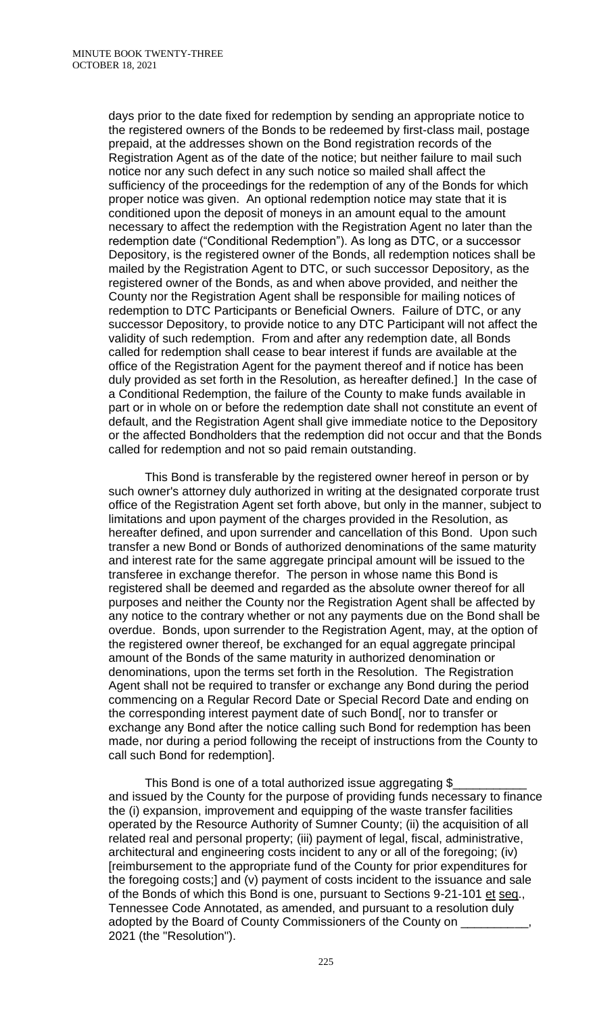days prior to the date fixed for redemption by sending an appropriate notice to the registered owners of the Bonds to be redeemed by first-class mail, postage prepaid, at the addresses shown on the Bond registration records of the Registration Agent as of the date of the notice; but neither failure to mail such notice nor any such defect in any such notice so mailed shall affect the sufficiency of the proceedings for the redemption of any of the Bonds for which proper notice was given. An optional redemption notice may state that it is conditioned upon the deposit of moneys in an amount equal to the amount necessary to affect the redemption with the Registration Agent no later than the redemption date ("Conditional Redemption"). As long as DTC, or a successor Depository, is the registered owner of the Bonds, all redemption notices shall be mailed by the Registration Agent to DTC, or such successor Depository, as the registered owner of the Bonds, as and when above provided, and neither the County nor the Registration Agent shall be responsible for mailing notices of redemption to DTC Participants or Beneficial Owners. Failure of DTC, or any successor Depository, to provide notice to any DTC Participant will not affect the validity of such redemption. From and after any redemption date, all Bonds called for redemption shall cease to bear interest if funds are available at the office of the Registration Agent for the payment thereof and if notice has been duly provided as set forth in the Resolution, as hereafter defined.] In the case of a Conditional Redemption, the failure of the County to make funds available in part or in whole on or before the redemption date shall not constitute an event of default, and the Registration Agent shall give immediate notice to the Depository or the affected Bondholders that the redemption did not occur and that the Bonds called for redemption and not so paid remain outstanding.

This Bond is transferable by the registered owner hereof in person or by such owner's attorney duly authorized in writing at the designated corporate trust office of the Registration Agent set forth above, but only in the manner, subject to limitations and upon payment of the charges provided in the Resolution, as hereafter defined, and upon surrender and cancellation of this Bond. Upon such transfer a new Bond or Bonds of authorized denominations of the same maturity and interest rate for the same aggregate principal amount will be issued to the transferee in exchange therefor. The person in whose name this Bond is registered shall be deemed and regarded as the absolute owner thereof for all purposes and neither the County nor the Registration Agent shall be affected by any notice to the contrary whether or not any payments due on the Bond shall be overdue. Bonds, upon surrender to the Registration Agent, may, at the option of the registered owner thereof, be exchanged for an equal aggregate principal amount of the Bonds of the same maturity in authorized denomination or denominations, upon the terms set forth in the Resolution. The Registration Agent shall not be required to transfer or exchange any Bond during the period commencing on a Regular Record Date or Special Record Date and ending on the corresponding interest payment date of such Bond[, nor to transfer or exchange any Bond after the notice calling such Bond for redemption has been made, nor during a period following the receipt of instructions from the County to call such Bond for redemption].

This Bond is one of a total authorized issue aggregating \$ and issued by the County for the purpose of providing funds necessary to finance the (i) expansion, improvement and equipping of the waste transfer facilities operated by the Resource Authority of Sumner County; (ii) the acquisition of all related real and personal property; (iii) payment of legal, fiscal, administrative, architectural and engineering costs incident to any or all of the foregoing; (iv) [reimbursement to the appropriate fund of the County for prior expenditures for the foregoing costs;] and (v) payment of costs incident to the issuance and sale of the Bonds of which this Bond is one, pursuant to Sections 9-21-101 et seq., Tennessee Code Annotated, as amended, and pursuant to a resolution duly adopted by the Board of County Commissioners of the County on \_ 2021 (the "Resolution").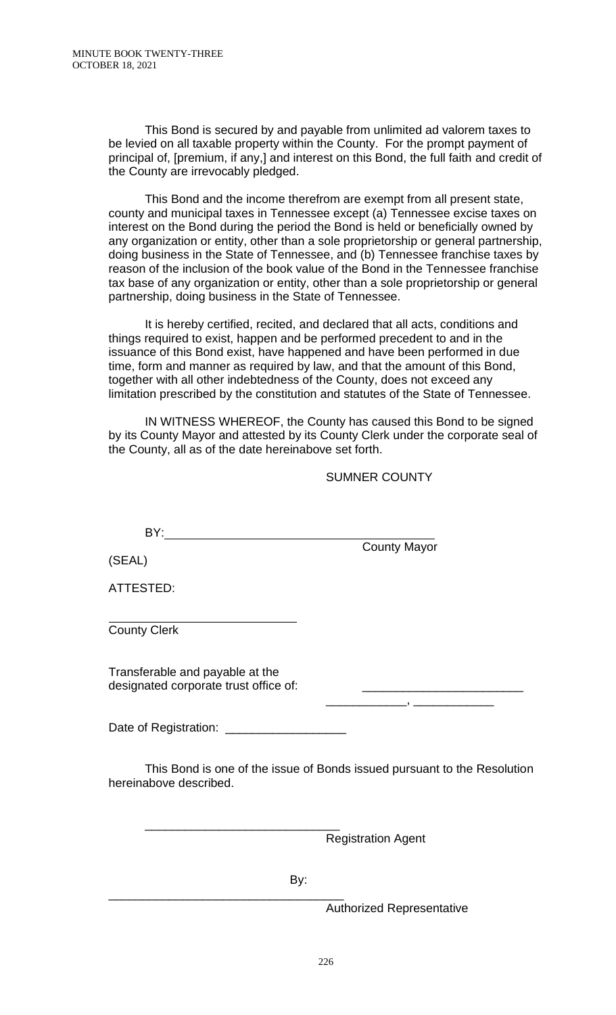This Bond is secured by and payable from unlimited ad valorem taxes to be levied on all taxable property within the County. For the prompt payment of principal of, [premium, if any,] and interest on this Bond, the full faith and credit of the County are irrevocably pledged.

This Bond and the income therefrom are exempt from all present state, county and municipal taxes in Tennessee except (a) Tennessee excise taxes on interest on the Bond during the period the Bond is held or beneficially owned by any organization or entity, other than a sole proprietorship or general partnership, doing business in the State of Tennessee, and (b) Tennessee franchise taxes by reason of the inclusion of the book value of the Bond in the Tennessee franchise tax base of any organization or entity, other than a sole proprietorship or general partnership, doing business in the State of Tennessee.

It is hereby certified, recited, and declared that all acts, conditions and things required to exist, happen and be performed precedent to and in the issuance of this Bond exist, have happened and have been performed in due time, form and manner as required by law, and that the amount of this Bond, together with all other indebtedness of the County, does not exceed any limitation prescribed by the constitution and statutes of the State of Tennessee.

IN WITNESS WHEREOF, the County has caused this Bond to be signed by its County Mayor and attested by its County Clerk under the corporate seal of the County, all as of the date hereinabove set forth.

### SUMNER COUNTY

BY:

County Mayor

\_\_\_\_\_\_\_\_\_\_\_\_, \_\_\_\_\_\_\_\_\_\_\_\_

(SEAL)

ATTESTED:

 $\overline{a}$ County Clerk

Transferable and payable at the designated corporate trust office of:

Date of Registration: \_\_\_\_\_\_\_\_\_\_\_\_\_\_\_\_\_\_

\_\_\_\_\_\_\_\_\_\_\_\_\_\_\_\_\_\_\_\_\_\_\_\_\_\_\_\_\_

This Bond is one of the issue of Bonds issued pursuant to the Resolution hereinabove described.

Registration Agent

By:

\_\_\_\_\_\_\_\_\_\_\_\_\_\_\_\_\_\_\_\_\_\_\_\_\_\_\_\_\_\_\_\_\_\_\_ Authorized Representative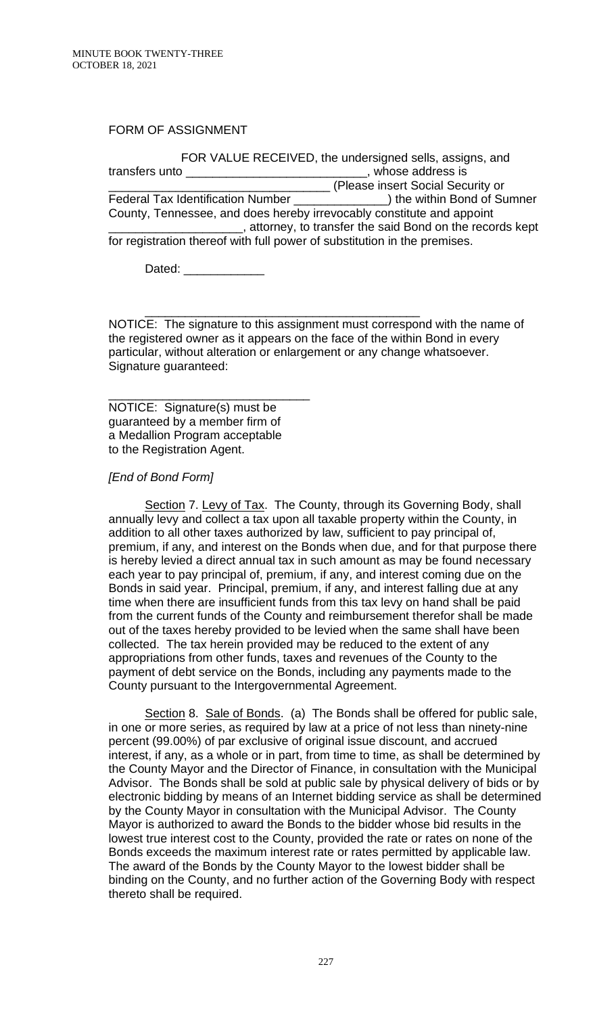FORM OF ASSIGNMENT

FOR VALUE RECEIVED, the undersigned sells, assigns, and transfers unto \_\_\_\_\_\_\_\_\_\_\_\_\_\_\_\_\_\_\_\_\_\_\_\_\_\_\_, whose address is \_\_\_\_\_\_\_\_\_\_\_\_\_\_\_\_\_\_\_\_\_\_\_\_\_\_\_\_\_\_\_\_\_ (Please insert Social Security or Federal Tax Identification Number \_\_\_\_\_\_\_\_\_\_\_\_\_\_) the within Bond of Sumner County, Tennessee, and does hereby irrevocably constitute and appoint \_\_\_\_\_\_\_\_\_\_\_\_\_\_\_\_\_\_\_\_, attorney, to transfer the said Bond on the records kept for registration thereof with full power of substitution in the premises.

Dated:  $\Box$ 

\_\_\_\_\_\_\_\_\_\_\_\_\_\_\_\_\_\_\_\_\_\_\_\_\_\_\_\_\_\_\_\_\_\_\_\_\_\_\_\_\_ NOTICE: The signature to this assignment must correspond with the name of the registered owner as it appears on the face of the within Bond in every particular, without alteration or enlargement or any change whatsoever. Signature guaranteed:

NOTICE: Signature(s) must be guaranteed by a member firm of a Medallion Program acceptable to the Registration Agent.

\_\_\_\_\_\_\_\_\_\_\_\_\_\_\_\_\_\_\_\_\_\_\_\_\_\_\_\_\_\_

### *[End of Bond Form]*

Section 7. Levy of Tax. The County, through its Governing Body, shall annually levy and collect a tax upon all taxable property within the County, in addition to all other taxes authorized by law, sufficient to pay principal of, premium, if any, and interest on the Bonds when due, and for that purpose there is hereby levied a direct annual tax in such amount as may be found necessary each year to pay principal of, premium, if any, and interest coming due on the Bonds in said year. Principal, premium, if any, and interest falling due at any time when there are insufficient funds from this tax levy on hand shall be paid from the current funds of the County and reimbursement therefor shall be made out of the taxes hereby provided to be levied when the same shall have been collected. The tax herein provided may be reduced to the extent of any appropriations from other funds, taxes and revenues of the County to the payment of debt service on the Bonds, including any payments made to the County pursuant to the Intergovernmental Agreement.

Section 8. Sale of Bonds. (a) The Bonds shall be offered for public sale, in one or more series, as required by law at a price of not less than ninety-nine percent (99.00%) of par exclusive of original issue discount, and accrued interest, if any, as a whole or in part, from time to time, as shall be determined by the County Mayor and the Director of Finance, in consultation with the Municipal Advisor. The Bonds shall be sold at public sale by physical delivery of bids or by electronic bidding by means of an Internet bidding service as shall be determined by the County Mayor in consultation with the Municipal Advisor. The County Mayor is authorized to award the Bonds to the bidder whose bid results in the lowest true interest cost to the County, provided the rate or rates on none of the Bonds exceeds the maximum interest rate or rates permitted by applicable law. The award of the Bonds by the County Mayor to the lowest bidder shall be binding on the County, and no further action of the Governing Body with respect thereto shall be required.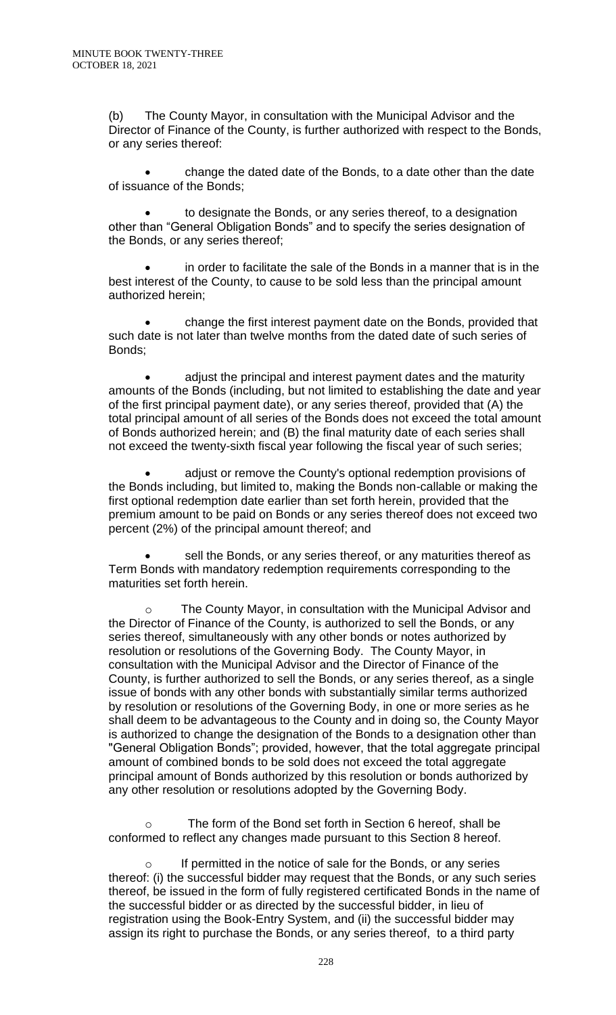(b) The County Mayor, in consultation with the Municipal Advisor and the Director of Finance of the County, is further authorized with respect to the Bonds, or any series thereof:

• change the dated date of the Bonds, to a date other than the date of issuance of the Bonds;

• to designate the Bonds, or any series thereof, to a designation other than "General Obligation Bonds" and to specify the series designation of the Bonds, or any series thereof;

• in order to facilitate the sale of the Bonds in a manner that is in the best interest of the County, to cause to be sold less than the principal amount authorized herein;

• change the first interest payment date on the Bonds, provided that such date is not later than twelve months from the dated date of such series of Bonds;

• adjust the principal and interest payment dates and the maturity amounts of the Bonds (including, but not limited to establishing the date and year of the first principal payment date), or any series thereof, provided that (A) the total principal amount of all series of the Bonds does not exceed the total amount of Bonds authorized herein; and (B) the final maturity date of each series shall not exceed the twenty-sixth fiscal year following the fiscal year of such series;

• adjust or remove the County's optional redemption provisions of the Bonds including, but limited to, making the Bonds non-callable or making the first optional redemption date earlier than set forth herein, provided that the premium amount to be paid on Bonds or any series thereof does not exceed two percent (2%) of the principal amount thereof; and

sell the Bonds, or any series thereof, or any maturities thereof as Term Bonds with mandatory redemption requirements corresponding to the maturities set forth herein.

The County Mayor, in consultation with the Municipal Advisor and the Director of Finance of the County, is authorized to sell the Bonds, or any series thereof, simultaneously with any other bonds or notes authorized by resolution or resolutions of the Governing Body. The County Mayor, in consultation with the Municipal Advisor and the Director of Finance of the County, is further authorized to sell the Bonds, or any series thereof, as a single issue of bonds with any other bonds with substantially similar terms authorized by resolution or resolutions of the Governing Body, in one or more series as he shall deem to be advantageous to the County and in doing so, the County Mayor is authorized to change the designation of the Bonds to a designation other than "General Obligation Bonds"; provided, however, that the total aggregate principal amount of combined bonds to be sold does not exceed the total aggregate principal amount of Bonds authorized by this resolution or bonds authorized by any other resolution or resolutions adopted by the Governing Body.

o The form of the Bond set forth in Section 6 hereof, shall be conformed to reflect any changes made pursuant to this Section 8 hereof.

o If permitted in the notice of sale for the Bonds, or any series thereof: (i) the successful bidder may request that the Bonds, or any such series thereof, be issued in the form of fully registered certificated Bonds in the name of the successful bidder or as directed by the successful bidder, in lieu of registration using the Book-Entry System, and (ii) the successful bidder may assign its right to purchase the Bonds, or any series thereof, to a third party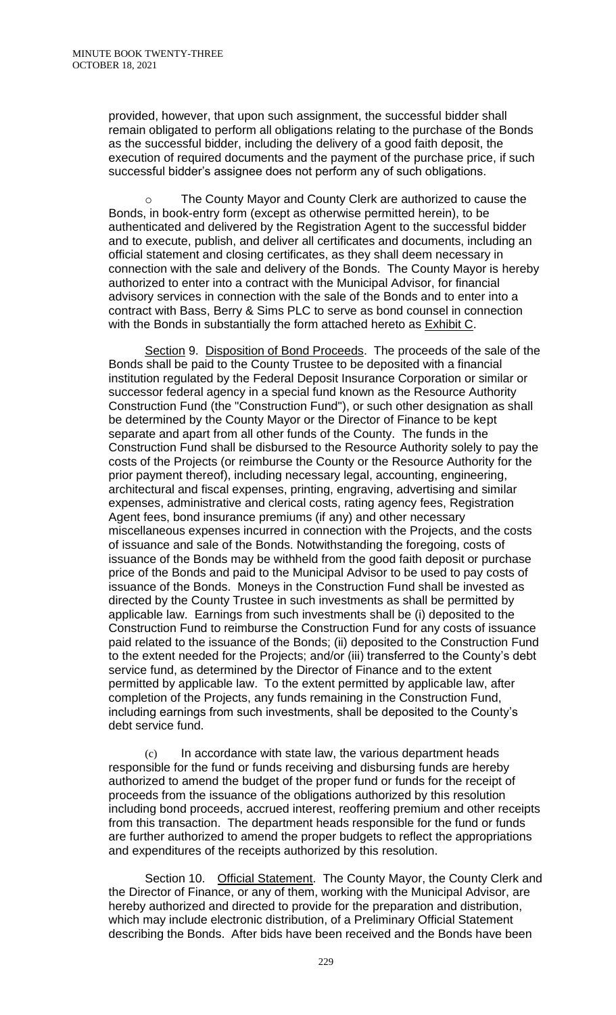provided, however, that upon such assignment, the successful bidder shall remain obligated to perform all obligations relating to the purchase of the Bonds as the successful bidder, including the delivery of a good faith deposit, the execution of required documents and the payment of the purchase price, if such successful bidder's assignee does not perform any of such obligations.

The County Mayor and County Clerk are authorized to cause the Bonds, in book-entry form (except as otherwise permitted herein), to be authenticated and delivered by the Registration Agent to the successful bidder and to execute, publish, and deliver all certificates and documents, including an official statement and closing certificates, as they shall deem necessary in connection with the sale and delivery of the Bonds. The County Mayor is hereby authorized to enter into a contract with the Municipal Advisor, for financial advisory services in connection with the sale of the Bonds and to enter into a contract with Bass, Berry & Sims PLC to serve as bond counsel in connection with the Bonds in substantially the form attached hereto as Exhibit C.

Section 9. Disposition of Bond Proceeds. The proceeds of the sale of the Bonds shall be paid to the County Trustee to be deposited with a financial institution regulated by the Federal Deposit Insurance Corporation or similar or successor federal agency in a special fund known as the Resource Authority Construction Fund (the "Construction Fund"), or such other designation as shall be determined by the County Mayor or the Director of Finance to be kept separate and apart from all other funds of the County. The funds in the Construction Fund shall be disbursed to the Resource Authority solely to pay the costs of the Projects (or reimburse the County or the Resource Authority for the prior payment thereof), including necessary legal, accounting, engineering, architectural and fiscal expenses, printing, engraving, advertising and similar expenses, administrative and clerical costs, rating agency fees, Registration Agent fees, bond insurance premiums (if any) and other necessary miscellaneous expenses incurred in connection with the Projects, and the costs of issuance and sale of the Bonds. Notwithstanding the foregoing, costs of issuance of the Bonds may be withheld from the good faith deposit or purchase price of the Bonds and paid to the Municipal Advisor to be used to pay costs of issuance of the Bonds. Moneys in the Construction Fund shall be invested as directed by the County Trustee in such investments as shall be permitted by applicable law. Earnings from such investments shall be (i) deposited to the Construction Fund to reimburse the Construction Fund for any costs of issuance paid related to the issuance of the Bonds; (ii) deposited to the Construction Fund to the extent needed for the Projects; and/or (iii) transferred to the County's debt service fund, as determined by the Director of Finance and to the extent permitted by applicable law. To the extent permitted by applicable law, after completion of the Projects, any funds remaining in the Construction Fund, including earnings from such investments, shall be deposited to the County's debt service fund.

(c) In accordance with state law, the various department heads responsible for the fund or funds receiving and disbursing funds are hereby authorized to amend the budget of the proper fund or funds for the receipt of proceeds from the issuance of the obligations authorized by this resolution including bond proceeds, accrued interest, reoffering premium and other receipts from this transaction. The department heads responsible for the fund or funds are further authorized to amend the proper budgets to reflect the appropriations and expenditures of the receipts authorized by this resolution.

Section 10. Official Statement. The County Mayor, the County Clerk and the Director of Finance, or any of them, working with the Municipal Advisor, are hereby authorized and directed to provide for the preparation and distribution, which may include electronic distribution, of a Preliminary Official Statement describing the Bonds. After bids have been received and the Bonds have been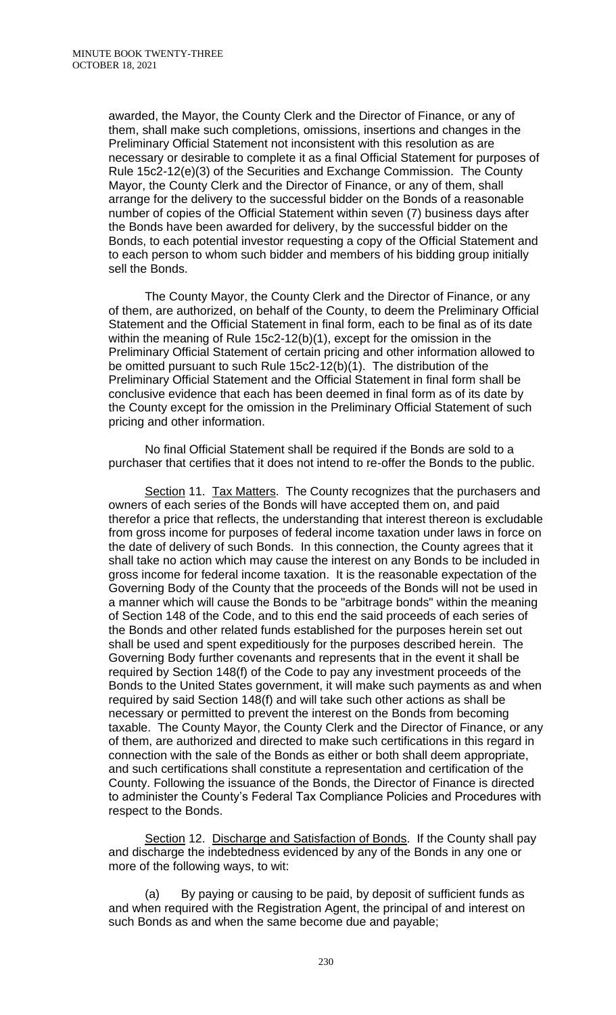awarded, the Mayor, the County Clerk and the Director of Finance, or any of them, shall make such completions, omissions, insertions and changes in the Preliminary Official Statement not inconsistent with this resolution as are necessary or desirable to complete it as a final Official Statement for purposes of Rule 15c2-12(e)(3) of the Securities and Exchange Commission. The County Mayor, the County Clerk and the Director of Finance, or any of them, shall arrange for the delivery to the successful bidder on the Bonds of a reasonable number of copies of the Official Statement within seven (7) business days after the Bonds have been awarded for delivery, by the successful bidder on the Bonds, to each potential investor requesting a copy of the Official Statement and to each person to whom such bidder and members of his bidding group initially sell the Bonds.

The County Mayor, the County Clerk and the Director of Finance, or any of them, are authorized, on behalf of the County, to deem the Preliminary Official Statement and the Official Statement in final form, each to be final as of its date within the meaning of Rule 15c2-12(b)(1), except for the omission in the Preliminary Official Statement of certain pricing and other information allowed to be omitted pursuant to such Rule 15c2-12(b)(1). The distribution of the Preliminary Official Statement and the Official Statement in final form shall be conclusive evidence that each has been deemed in final form as of its date by the County except for the omission in the Preliminary Official Statement of such pricing and other information.

No final Official Statement shall be required if the Bonds are sold to a purchaser that certifies that it does not intend to re-offer the Bonds to the public.

Section 11. Tax Matters. The County recognizes that the purchasers and owners of each series of the Bonds will have accepted them on, and paid therefor a price that reflects, the understanding that interest thereon is excludable from gross income for purposes of federal income taxation under laws in force on the date of delivery of such Bonds. In this connection, the County agrees that it shall take no action which may cause the interest on any Bonds to be included in gross income for federal income taxation. It is the reasonable expectation of the Governing Body of the County that the proceeds of the Bonds will not be used in a manner which will cause the Bonds to be "arbitrage bonds" within the meaning of Section 148 of the Code, and to this end the said proceeds of each series of the Bonds and other related funds established for the purposes herein set out shall be used and spent expeditiously for the purposes described herein. The Governing Body further covenants and represents that in the event it shall be required by Section 148(f) of the Code to pay any investment proceeds of the Bonds to the United States government, it will make such payments as and when required by said Section 148(f) and will take such other actions as shall be necessary or permitted to prevent the interest on the Bonds from becoming taxable. The County Mayor, the County Clerk and the Director of Finance, or any of them, are authorized and directed to make such certifications in this regard in connection with the sale of the Bonds as either or both shall deem appropriate, and such certifications shall constitute a representation and certification of the County. Following the issuance of the Bonds, the Director of Finance is directed to administer the County's Federal Tax Compliance Policies and Procedures with respect to the Bonds.

Section 12. Discharge and Satisfaction of Bonds. If the County shall pay and discharge the indebtedness evidenced by any of the Bonds in any one or more of the following ways, to wit:

(a) By paying or causing to be paid, by deposit of sufficient funds as and when required with the Registration Agent, the principal of and interest on such Bonds as and when the same become due and payable;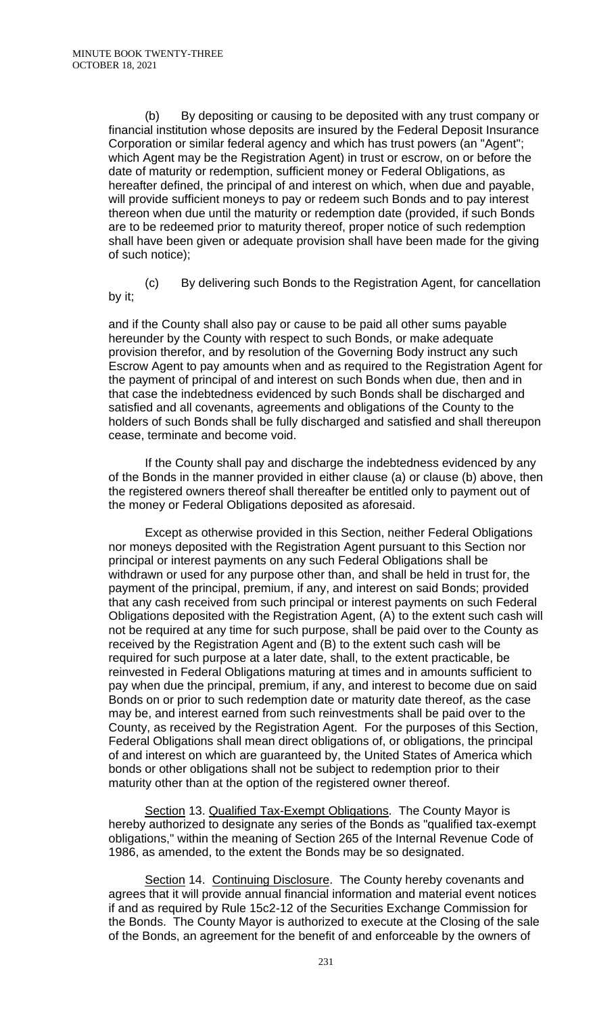(b) By depositing or causing to be deposited with any trust company or financial institution whose deposits are insured by the Federal Deposit Insurance Corporation or similar federal agency and which has trust powers (an "Agent"; which Agent may be the Registration Agent) in trust or escrow, on or before the date of maturity or redemption, sufficient money or Federal Obligations, as hereafter defined, the principal of and interest on which, when due and payable, will provide sufficient moneys to pay or redeem such Bonds and to pay interest thereon when due until the maturity or redemption date (provided, if such Bonds are to be redeemed prior to maturity thereof, proper notice of such redemption shall have been given or adequate provision shall have been made for the giving of such notice);

(c) By delivering such Bonds to the Registration Agent, for cancellation by it;

and if the County shall also pay or cause to be paid all other sums payable hereunder by the County with respect to such Bonds, or make adequate provision therefor, and by resolution of the Governing Body instruct any such Escrow Agent to pay amounts when and as required to the Registration Agent for the payment of principal of and interest on such Bonds when due, then and in that case the indebtedness evidenced by such Bonds shall be discharged and satisfied and all covenants, agreements and obligations of the County to the holders of such Bonds shall be fully discharged and satisfied and shall thereupon cease, terminate and become void.

If the County shall pay and discharge the indebtedness evidenced by any of the Bonds in the manner provided in either clause (a) or clause (b) above, then the registered owners thereof shall thereafter be entitled only to payment out of the money or Federal Obligations deposited as aforesaid.

Except as otherwise provided in this Section, neither Federal Obligations nor moneys deposited with the Registration Agent pursuant to this Section nor principal or interest payments on any such Federal Obligations shall be withdrawn or used for any purpose other than, and shall be held in trust for, the payment of the principal, premium, if any, and interest on said Bonds; provided that any cash received from such principal or interest payments on such Federal Obligations deposited with the Registration Agent, (A) to the extent such cash will not be required at any time for such purpose, shall be paid over to the County as received by the Registration Agent and (B) to the extent such cash will be required for such purpose at a later date, shall, to the extent practicable, be reinvested in Federal Obligations maturing at times and in amounts sufficient to pay when due the principal, premium, if any, and interest to become due on said Bonds on or prior to such redemption date or maturity date thereof, as the case may be, and interest earned from such reinvestments shall be paid over to the County, as received by the Registration Agent. For the purposes of this Section, Federal Obligations shall mean direct obligations of, or obligations, the principal of and interest on which are guaranteed by, the United States of America which bonds or other obligations shall not be subject to redemption prior to their maturity other than at the option of the registered owner thereof.

Section 13. Qualified Tax-Exempt Obligations. The County Mayor is hereby authorized to designate any series of the Bonds as "qualified tax-exempt obligations," within the meaning of Section 265 of the Internal Revenue Code of 1986, as amended, to the extent the Bonds may be so designated.

Section 14. Continuing Disclosure. The County hereby covenants and agrees that it will provide annual financial information and material event notices if and as required by Rule 15c2-12 of the Securities Exchange Commission for the Bonds. The County Mayor is authorized to execute at the Closing of the sale of the Bonds, an agreement for the benefit of and enforceable by the owners of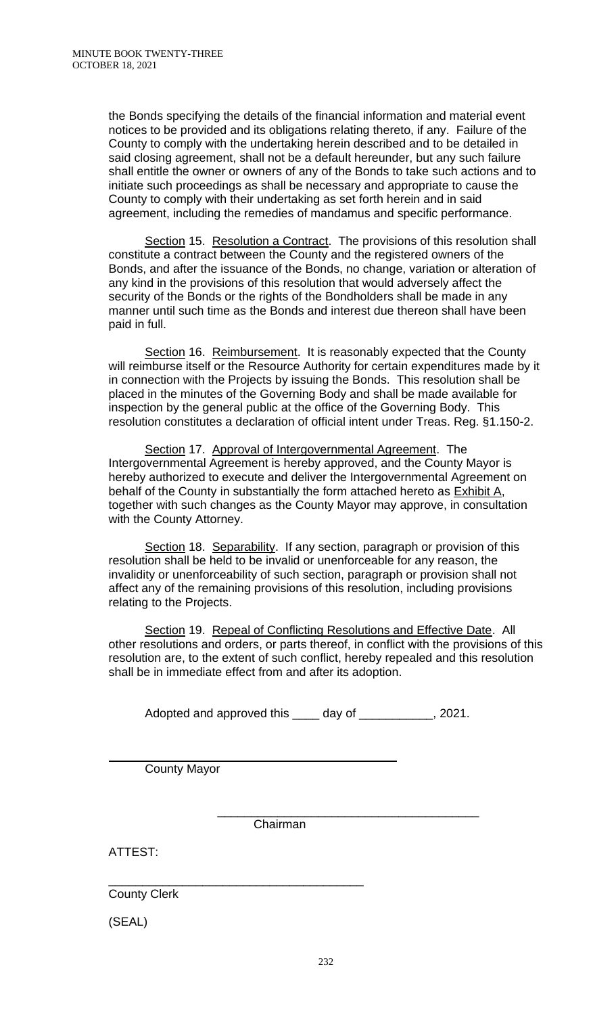the Bonds specifying the details of the financial information and material event notices to be provided and its obligations relating thereto, if any. Failure of the County to comply with the undertaking herein described and to be detailed in said closing agreement, shall not be a default hereunder, but any such failure shall entitle the owner or owners of any of the Bonds to take such actions and to initiate such proceedings as shall be necessary and appropriate to cause the County to comply with their undertaking as set forth herein and in said agreement, including the remedies of mandamus and specific performance.

Section 15. Resolution a Contract. The provisions of this resolution shall constitute a contract between the County and the registered owners of the Bonds, and after the issuance of the Bonds, no change, variation or alteration of any kind in the provisions of this resolution that would adversely affect the security of the Bonds or the rights of the Bondholders shall be made in any manner until such time as the Bonds and interest due thereon shall have been paid in full.

Section 16. Reimbursement. It is reasonably expected that the County will reimburse itself or the Resource Authority for certain expenditures made by it in connection with the Projects by issuing the Bonds. This resolution shall be placed in the minutes of the Governing Body and shall be made available for inspection by the general public at the office of the Governing Body. This resolution constitutes a declaration of official intent under Treas. Reg. §1.150-2.

Section 17. Approval of Intergovernmental Agreement. The Intergovernmental Agreement is hereby approved, and the County Mayor is hereby authorized to execute and deliver the Intergovernmental Agreement on behalf of the County in substantially the form attached hereto as Exhibit A, together with such changes as the County Mayor may approve, in consultation with the County Attorney.

Section 18. Separability. If any section, paragraph or provision of this resolution shall be held to be invalid or unenforceable for any reason, the invalidity or unenforceability of such section, paragraph or provision shall not affect any of the remaining provisions of this resolution, including provisions relating to the Projects.

Section 19. Repeal of Conflicting Resolutions and Effective Date. All other resolutions and orders, or parts thereof, in conflict with the provisions of this resolution are, to the extent of such conflict, hereby repealed and this resolution shall be in immediate effect from and after its adoption.

Adopted and approved this \_\_\_\_ day of \_\_\_\_\_\_\_\_\_\_, 2021.

County Mayor

\_\_\_\_\_\_\_\_\_\_\_\_\_\_\_\_\_\_\_\_\_\_\_\_\_\_\_\_\_\_\_\_\_\_\_\_\_\_\_ Chairman

ATTEST:

 $\overline{a}$ 

\_\_\_\_\_\_\_\_\_\_\_\_\_\_\_\_\_\_\_\_\_\_\_\_\_\_\_\_\_\_\_\_\_\_\_\_\_\_ County Clerk

(SEAL)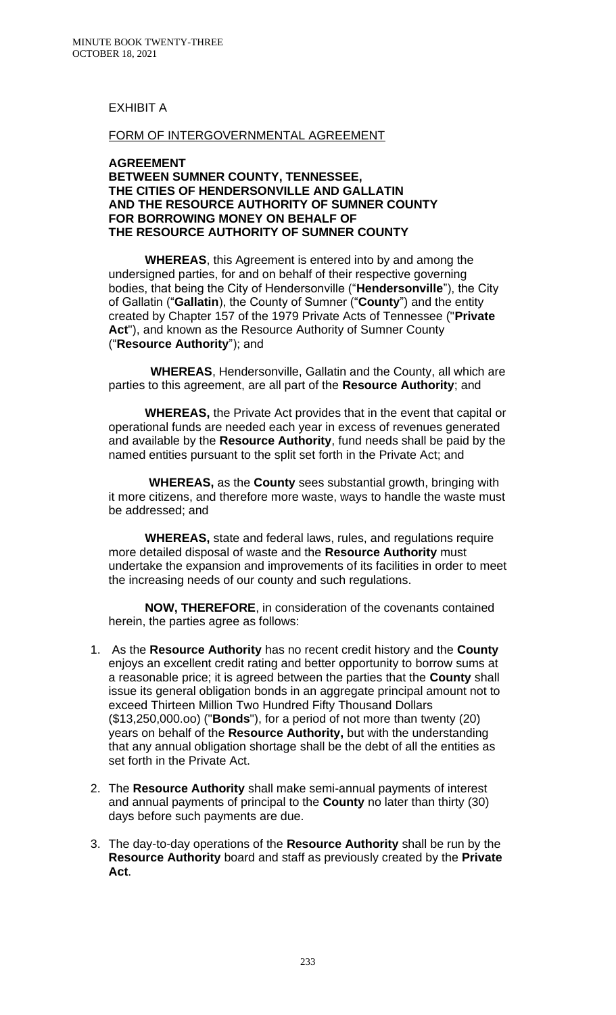## EXHIBIT A

### FORM OF INTERGOVERNMENTAL AGREEMENT

#### **AGREEMENT BETWEEN SUMNER COUNTY, TENNESSEE, THE CITIES OF HENDERSONVILLE AND GALLATIN AND THE RESOURCE AUTHORITY OF SUMNER COUNTY FOR BORROWING MONEY ON BEHALF OF THE RESOURCE AUTHORITY OF SUMNER COUNTY**

**WHEREAS**, this Agreement is entered into by and among the undersigned parties, for and on behalf of their respective governing bodies, that being the City of Hendersonville ("**Hendersonville**"), the City of Gallatin ("**Gallatin**), the County of Sumner ("**County**") and the entity created by Chapter 157 of the 1979 Private Acts of Tennessee ("**Private Act**"), and known as the Resource Authority of Sumner County ("**Resource Authority**"); and

 **WHEREAS**, Hendersonville, Gallatin and the County, all which are parties to this agreement, are all part of the **Resource Authority**; and

**WHEREAS,** the Private Act provides that in the event that capital or operational funds are needed each year in excess of revenues generated and available by the **Resource Authority**, fund needs shall be paid by the named entities pursuant to the split set forth in the Private Act; and

 **WHEREAS,** as the **County** sees substantial growth, bringing with it more citizens, and therefore more waste, ways to handle the waste must be addressed; and

**WHEREAS,** state and federal laws, rules, and regulations require more detailed disposal of waste and the **Resource Authority** must undertake the expansion and improvements of its facilities in order to meet the increasing needs of our county and such regulations.

**NOW, THEREFORE**, in consideration of the covenants contained herein, the parties agree as follows:

- 1. As the **Resource Authority** has no recent credit history and the **County**  enjoys an excellent credit rating and better opportunity to borrow sums at a reasonable price; it is agreed between the parties that the **County** shall issue its general obligation bonds in an aggregate principal amount not to exceed Thirteen Million Two Hundred Fifty Thousand Dollars (\$13,250,000.oo) ("**Bonds**"), for a period of not more than twenty (20) years on behalf of the **Resource Authority,** but with the understanding that any annual obligation shortage shall be the debt of all the entities as set forth in the Private Act.
- 2. The **Resource Authority** shall make semi-annual payments of interest and annual payments of principal to the **County** no later than thirty (30) days before such payments are due.
- 3. The day-to-day operations of the **Resource Authority** shall be run by the **Resource Authority** board and staff as previously created by the **Private Act**.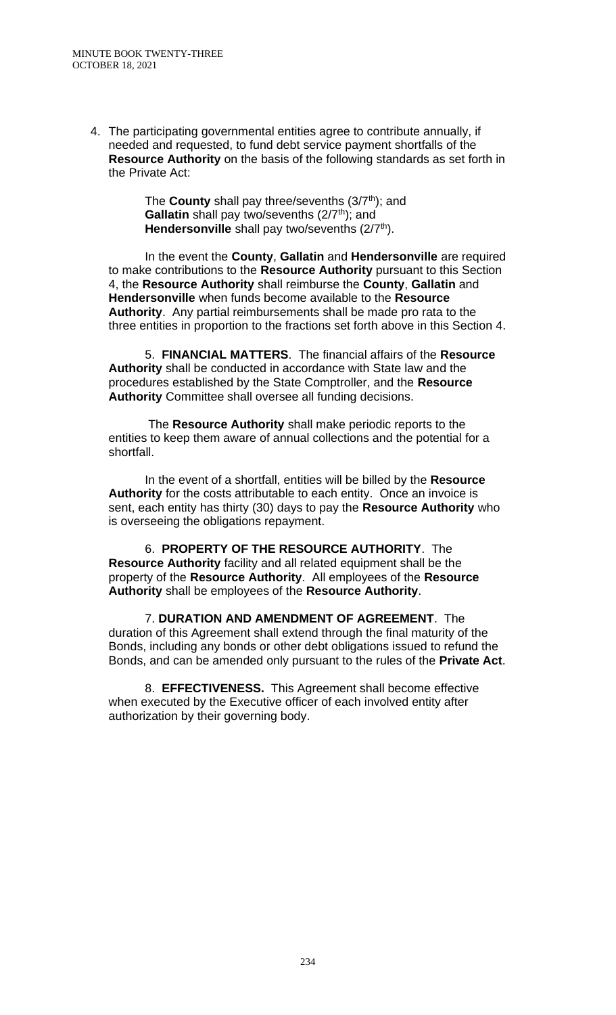4. The participating governmental entities agree to contribute annually, if needed and requested, to fund debt service payment shortfalls of the **Resource Authority** on the basis of the following standards as set forth in the Private Act:

> The **County** shall pay three/sevenths (3/7<sup>th</sup>); and **Gallatin** shall pay two/sevenths (2/7<sup>th</sup>); and **Hendersonville** shall pay two/sevenths (2/7<sup>th</sup>).

In the event the **County**, **Gallatin** and **Hendersonville** are required to make contributions to the **Resource Authority** pursuant to this Section 4, the **Resource Authority** shall reimburse the **County**, **Gallatin** and **Hendersonville** when funds become available to the **Resource Authority**. Any partial reimbursements shall be made pro rata to the three entities in proportion to the fractions set forth above in this Section 4.

5. **FINANCIAL MATTERS**. The financial affairs of the **Resource Authority** shall be conducted in accordance with State law and the procedures established by the State Comptroller, and the **Resource Authority** Committee shall oversee all funding decisions.

The **Resource Authority** shall make periodic reports to the entities to keep them aware of annual collections and the potential for a shortfall.

In the event of a shortfall, entities will be billed by the **Resource Authority** for the costs attributable to each entity. Once an invoice is sent, each entity has thirty (30) days to pay the **Resource Authority** who is overseeing the obligations repayment.

6. **PROPERTY OF THE RESOURCE AUTHORITY**. The **Resource Authority** facility and all related equipment shall be the property of the **Resource Authority**. All employees of the **Resource Authority** shall be employees of the **Resource Authority**.

7. **DURATION AND AMENDMENT OF AGREEMENT**. The duration of this Agreement shall extend through the final maturity of the Bonds, including any bonds or other debt obligations issued to refund the Bonds, and can be amended only pursuant to the rules of the **Private Act**.

8. **EFFECTIVENESS.** This Agreement shall become effective when executed by the Executive officer of each involved entity after authorization by their governing body.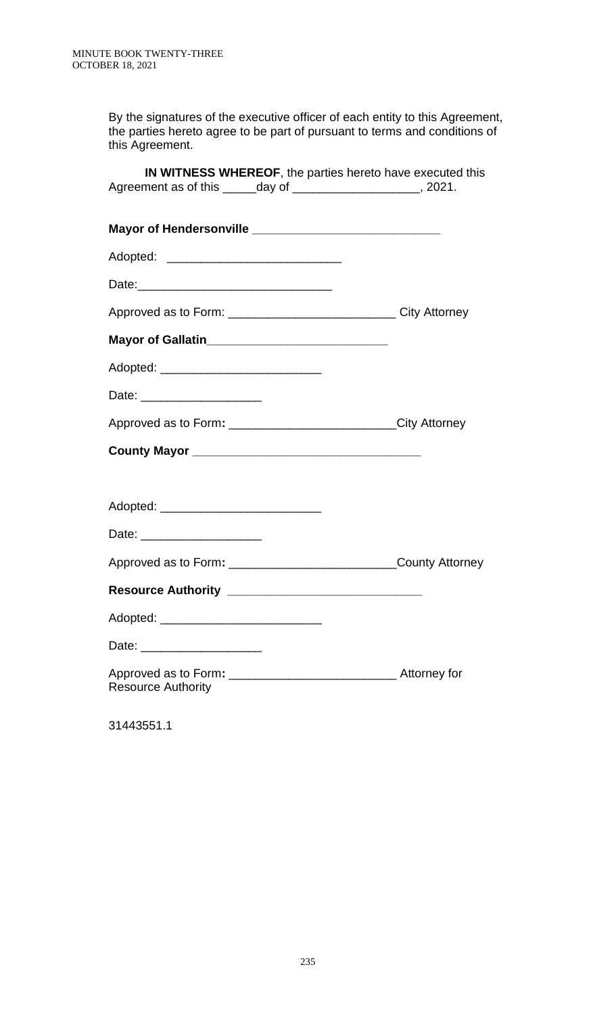By the signatures of the executive officer of each entity to this Agreement, the parties hereto agree to be part of pursuant to terms and conditions of this Agreement.

| IN WITNESS WHEREOF, the parties hereto have executed this<br>Agreement as of this ______ day of ______________________, 2021. |  |
|-------------------------------------------------------------------------------------------------------------------------------|--|
|                                                                                                                               |  |
|                                                                                                                               |  |
| Adopted: ________________________________                                                                                     |  |
|                                                                                                                               |  |
| Approved as to Form: _________________________________City Attorney                                                           |  |
| Mayor of Gallatin______________________________                                                                               |  |
|                                                                                                                               |  |
| Date: _______________________                                                                                                 |  |
| Approved as to Form: ________________________________City Attorney                                                            |  |
|                                                                                                                               |  |
|                                                                                                                               |  |
|                                                                                                                               |  |
|                                                                                                                               |  |
| Approved as to Form: ___________________________________County Attorney                                                       |  |
|                                                                                                                               |  |
| Adopted:                                                                                                                      |  |
| Date: ________________________                                                                                                |  |
| <b>Resource Authority</b>                                                                                                     |  |
|                                                                                                                               |  |

31443551.1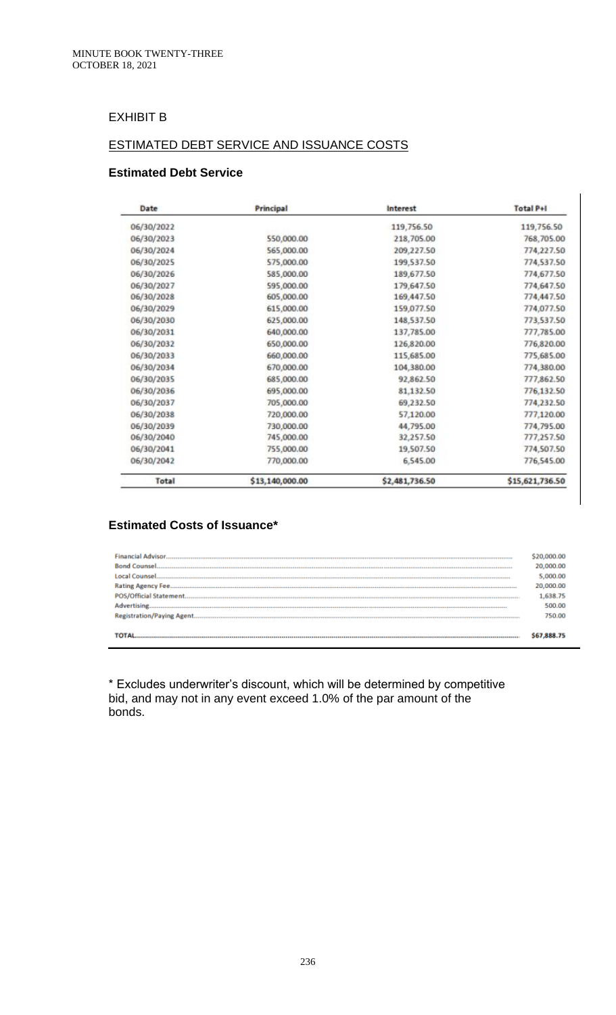# EXHIBIT B

## ESTIMATED DEBT SERVICE AND ISSUANCE COSTS

## **Estimated Debt Service**

| Date         | Principal       | Interest       | <b>Total P+I</b> |
|--------------|-----------------|----------------|------------------|
| 06/30/2022   |                 | 119,756.50     | 119,756.50       |
| 06/30/2023   | 550,000.00      | 218,705.00     | 768,705.00       |
| 06/30/2024   | 565,000.00      | 209,227.50     | 774,227.50       |
| 06/30/2025   | 575,000.00      | 199,537.50     | 774,537.50       |
| 06/30/2026   | 585,000.00      | 189,677.50     | 774,677.50       |
| 06/30/2027   | 595,000.00      | 179,647.50     | 774,647.50       |
| 06/30/2028   | 605,000.00      | 169,447.50     | 774,447.50       |
| 06/30/2029   | 615,000.00      | 159,077.50     | 774,077.50       |
| 06/30/2030   | 625,000.00      | 148,537.50     | 773,537.50       |
| 06/30/2031   | 640,000.00      | 137,785.00     | 777,785.00       |
| 06/30/2032   | 650,000.00      | 126,820.00     | 776,820.00       |
| 06/30/2033   | 660,000.00      | 115,685.00     | 775,685.00       |
| 06/30/2034   | 670,000.00      | 104,380.00     | 774,380.00       |
| 06/30/2035   | 685,000.00      | 92,862.50      | 777,862.50       |
| 06/30/2036   | 695,000.00      | 81,132.50      | 776,132.50       |
| 06/30/2037   | 705,000.00      | 69,232.50      | 774,232.50       |
| 06/30/2038   | 720,000.00      | 57,120.00      | 777,120.00       |
| 06/30/2039   | 730,000.00      | 44,795.00      | 774,795.00       |
| 06/30/2040   | 745,000.00      | 32,257.50      | 777,257.50       |
| 06/30/2041   | 755,000.00      | 19,507.50      | 774,507.50       |
| 06/30/2042   | 770,000.00      | 6,545.00       | 776,545.00       |
| <b>Total</b> | \$13,140,000.00 | \$2,481,736.50 | \$15,621,736.50  |

## **Estimated Costs of Issuance\***

| <b>Financial Advisor.</b> | 20,000.00<br>5.000.00<br>20,000.00<br>1,638.75<br>500.00 |
|---------------------------|----------------------------------------------------------|
|                           | 750.00                                                   |

\* Excludes underwriter's discount, which will be determined by competitive bid, and may not in any event exceed 1.0% of the par amount of the bonds.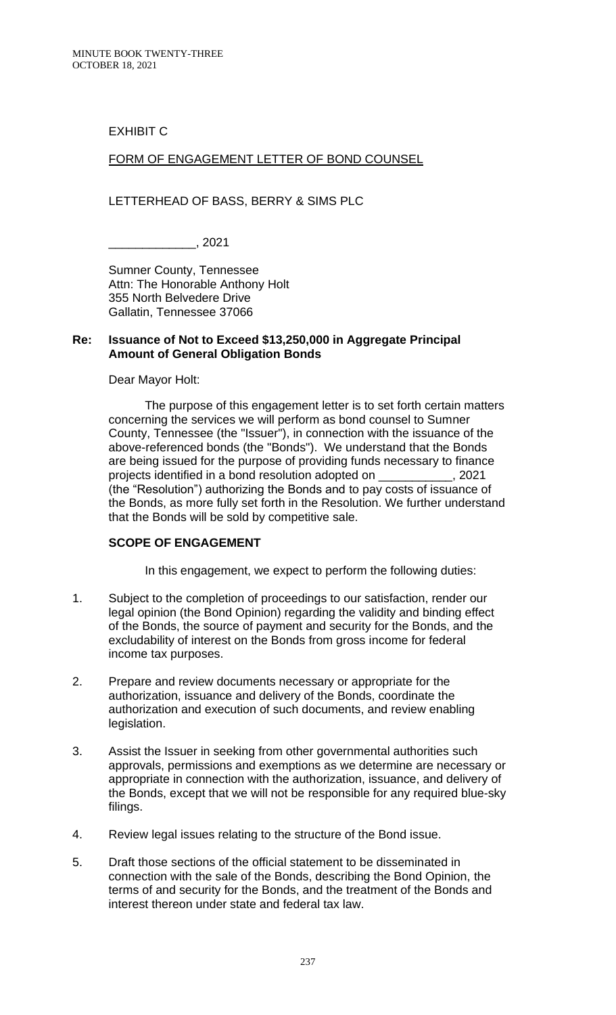## EXHIBIT C

## FORM OF ENGAGEMENT LETTER OF BOND COUNSEL

### LETTERHEAD OF BASS, BERRY & SIMS PLC

\_\_\_\_\_\_\_\_\_\_\_\_\_, 2021

Sumner County, Tennessee Attn: The Honorable Anthony Holt 355 North Belvedere Drive Gallatin, Tennessee 37066

#### **Re: Issuance of Not to Exceed \$13,250,000 in Aggregate Principal Amount of General Obligation Bonds**

#### Dear Mayor Holt:

The purpose of this engagement letter is to set forth certain matters concerning the services we will perform as bond counsel to Sumner County, Tennessee (the "Issuer"), in connection with the issuance of the above-referenced bonds (the "Bonds"). We understand that the Bonds are being issued for the purpose of providing funds necessary to finance projects identified in a bond resolution adopted on \_\_\_\_\_\_\_\_\_\_\_, 2021 (the "Resolution") authorizing the Bonds and to pay costs of issuance of the Bonds, as more fully set forth in the Resolution. We further understand that the Bonds will be sold by competitive sale.

#### **SCOPE OF ENGAGEMENT**

In this engagement, we expect to perform the following duties:

- 1. Subject to the completion of proceedings to our satisfaction, render our legal opinion (the Bond Opinion) regarding the validity and binding effect of the Bonds, the source of payment and security for the Bonds, and the excludability of interest on the Bonds from gross income for federal income tax purposes.
- 2. Prepare and review documents necessary or appropriate for the authorization, issuance and delivery of the Bonds, coordinate the authorization and execution of such documents, and review enabling legislation.
- 3. Assist the Issuer in seeking from other governmental authorities such approvals, permissions and exemptions as we determine are necessary or appropriate in connection with the authorization, issuance, and delivery of the Bonds, except that we will not be responsible for any required blue-sky filings.
- 4. Review legal issues relating to the structure of the Bond issue.
- 5. Draft those sections of the official statement to be disseminated in connection with the sale of the Bonds, describing the Bond Opinion, the terms of and security for the Bonds, and the treatment of the Bonds and interest thereon under state and federal tax law.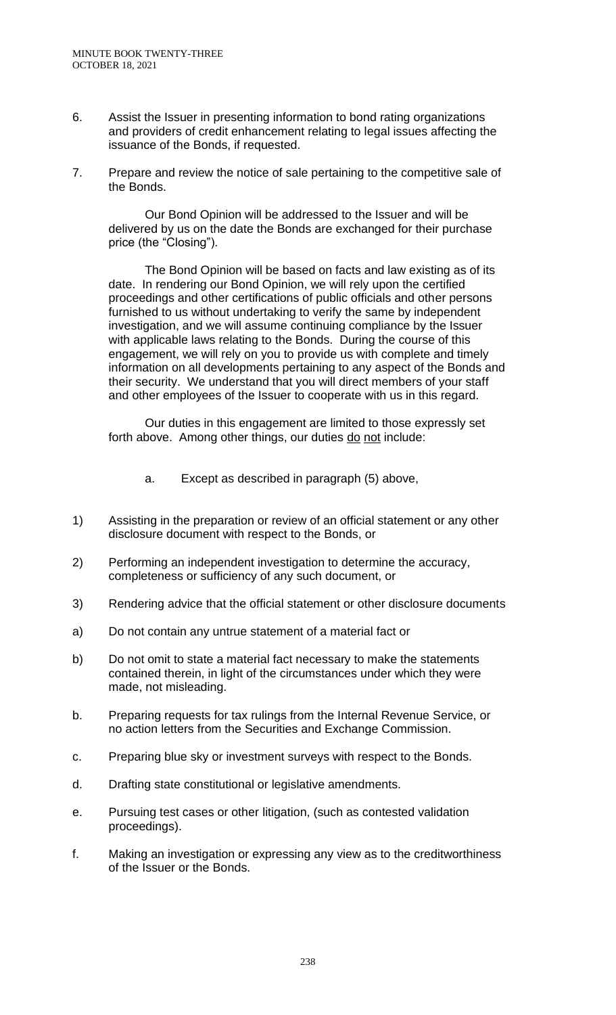- 6. Assist the Issuer in presenting information to bond rating organizations and providers of credit enhancement relating to legal issues affecting the issuance of the Bonds, if requested.
- 7. Prepare and review the notice of sale pertaining to the competitive sale of the Bonds.

Our Bond Opinion will be addressed to the Issuer and will be delivered by us on the date the Bonds are exchanged for their purchase price (the "Closing").

The Bond Opinion will be based on facts and law existing as of its date. In rendering our Bond Opinion, we will rely upon the certified proceedings and other certifications of public officials and other persons furnished to us without undertaking to verify the same by independent investigation, and we will assume continuing compliance by the Issuer with applicable laws relating to the Bonds. During the course of this engagement, we will rely on you to provide us with complete and timely information on all developments pertaining to any aspect of the Bonds and their security. We understand that you will direct members of your staff and other employees of the Issuer to cooperate with us in this regard.

Our duties in this engagement are limited to those expressly set forth above. Among other things, our duties do not include:

- a. Except as described in paragraph (5) above,
- 1) Assisting in the preparation or review of an official statement or any other disclosure document with respect to the Bonds, or
- 2) Performing an independent investigation to determine the accuracy, completeness or sufficiency of any such document, or
- 3) Rendering advice that the official statement or other disclosure documents
- a) Do not contain any untrue statement of a material fact or
- b) Do not omit to state a material fact necessary to make the statements contained therein, in light of the circumstances under which they were made, not misleading.
- b. Preparing requests for tax rulings from the Internal Revenue Service, or no action letters from the Securities and Exchange Commission.
- c. Preparing blue sky or investment surveys with respect to the Bonds.
- d. Drafting state constitutional or legislative amendments.
- e. Pursuing test cases or other litigation, (such as contested validation proceedings).
- f. Making an investigation or expressing any view as to the creditworthiness of the Issuer or the Bonds.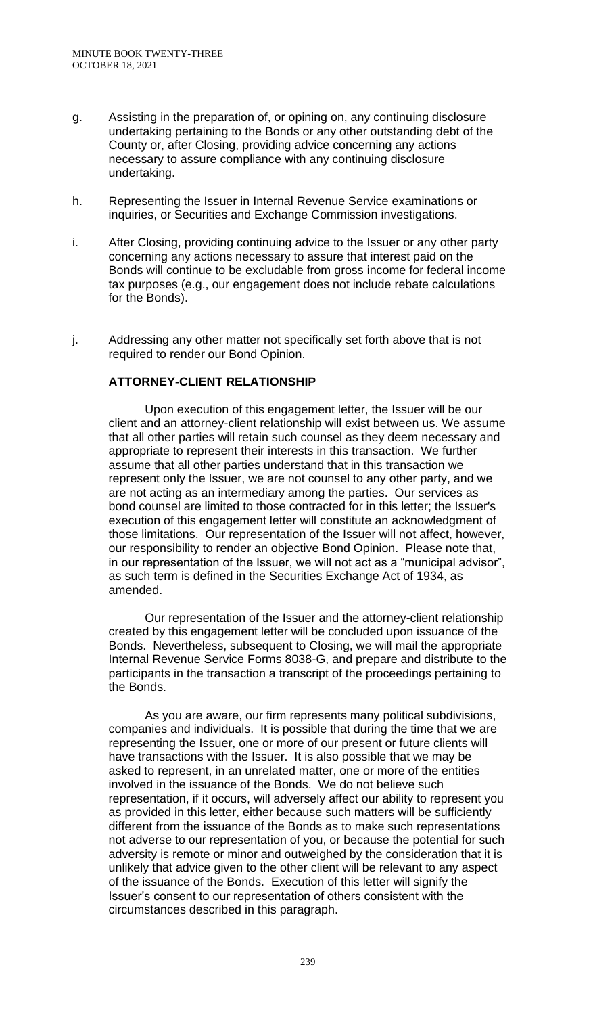- g. Assisting in the preparation of, or opining on, any continuing disclosure undertaking pertaining to the Bonds or any other outstanding debt of the County or, after Closing, providing advice concerning any actions necessary to assure compliance with any continuing disclosure undertaking.
- h. Representing the Issuer in Internal Revenue Service examinations or inquiries, or Securities and Exchange Commission investigations.
- i. After Closing, providing continuing advice to the Issuer or any other party concerning any actions necessary to assure that interest paid on the Bonds will continue to be excludable from gross income for federal income tax purposes (e.g., our engagement does not include rebate calculations for the Bonds).
- j. Addressing any other matter not specifically set forth above that is not required to render our Bond Opinion.

## **ATTORNEY-CLIENT RELATIONSHIP**

Upon execution of this engagement letter, the Issuer will be our client and an attorney-client relationship will exist between us. We assume that all other parties will retain such counsel as they deem necessary and appropriate to represent their interests in this transaction. We further assume that all other parties understand that in this transaction we represent only the Issuer, we are not counsel to any other party, and we are not acting as an intermediary among the parties. Our services as bond counsel are limited to those contracted for in this letter; the Issuer's execution of this engagement letter will constitute an acknowledgment of those limitations. Our representation of the Issuer will not affect, however, our responsibility to render an objective Bond Opinion. Please note that, in our representation of the Issuer, we will not act as a "municipal advisor", as such term is defined in the Securities Exchange Act of 1934, as amended.

Our representation of the Issuer and the attorney-client relationship created by this engagement letter will be concluded upon issuance of the Bonds. Nevertheless, subsequent to Closing, we will mail the appropriate Internal Revenue Service Forms 8038-G, and prepare and distribute to the participants in the transaction a transcript of the proceedings pertaining to the Bonds.

As you are aware, our firm represents many political subdivisions, companies and individuals. It is possible that during the time that we are representing the Issuer, one or more of our present or future clients will have transactions with the Issuer. It is also possible that we may be asked to represent, in an unrelated matter, one or more of the entities involved in the issuance of the Bonds. We do not believe such representation, if it occurs, will adversely affect our ability to represent you as provided in this letter, either because such matters will be sufficiently different from the issuance of the Bonds as to make such representations not adverse to our representation of you, or because the potential for such adversity is remote or minor and outweighed by the consideration that it is unlikely that advice given to the other client will be relevant to any aspect of the issuance of the Bonds. Execution of this letter will signify the Issuer's consent to our representation of others consistent with the circumstances described in this paragraph.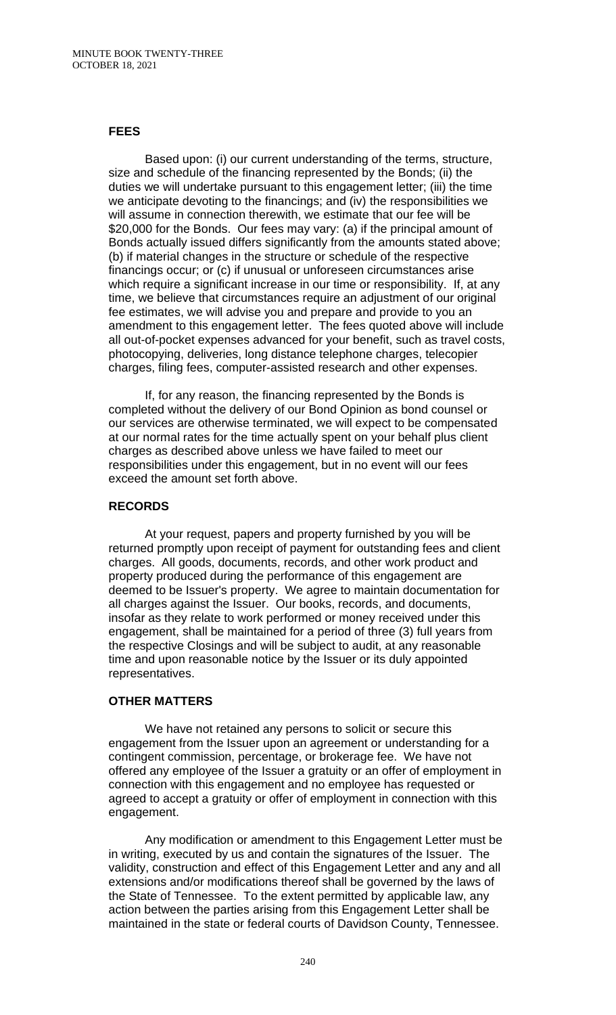### **FEES**

Based upon: (i) our current understanding of the terms, structure, size and schedule of the financing represented by the Bonds; (ii) the duties we will undertake pursuant to this engagement letter; (iii) the time we anticipate devoting to the financings; and (iv) the responsibilities we will assume in connection therewith, we estimate that our fee will be \$20,000 for the Bonds. Our fees may vary: (a) if the principal amount of Bonds actually issued differs significantly from the amounts stated above; (b) if material changes in the structure or schedule of the respective financings occur; or (c) if unusual or unforeseen circumstances arise which require a significant increase in our time or responsibility. If, at any time, we believe that circumstances require an adjustment of our original fee estimates, we will advise you and prepare and provide to you an amendment to this engagement letter. The fees quoted above will include all out-of-pocket expenses advanced for your benefit, such as travel costs, photocopying, deliveries, long distance telephone charges, telecopier charges, filing fees, computer-assisted research and other expenses.

If, for any reason, the financing represented by the Bonds is completed without the delivery of our Bond Opinion as bond counsel or our services are otherwise terminated, we will expect to be compensated at our normal rates for the time actually spent on your behalf plus client charges as described above unless we have failed to meet our responsibilities under this engagement, but in no event will our fees exceed the amount set forth above.

### **RECORDS**

At your request, papers and property furnished by you will be returned promptly upon receipt of payment for outstanding fees and client charges. All goods, documents, records, and other work product and property produced during the performance of this engagement are deemed to be Issuer's property. We agree to maintain documentation for all charges against the Issuer. Our books, records, and documents, insofar as they relate to work performed or money received under this engagement, shall be maintained for a period of three (3) full years from the respective Closings and will be subject to audit, at any reasonable time and upon reasonable notice by the Issuer or its duly appointed representatives.

### **OTHER MATTERS**

We have not retained any persons to solicit or secure this engagement from the Issuer upon an agreement or understanding for a contingent commission, percentage, or brokerage fee. We have not offered any employee of the Issuer a gratuity or an offer of employment in connection with this engagement and no employee has requested or agreed to accept a gratuity or offer of employment in connection with this engagement.

Any modification or amendment to this Engagement Letter must be in writing, executed by us and contain the signatures of the Issuer. The validity, construction and effect of this Engagement Letter and any and all extensions and/or modifications thereof shall be governed by the laws of the State of Tennessee. To the extent permitted by applicable law, any action between the parties arising from this Engagement Letter shall be maintained in the state or federal courts of Davidson County, Tennessee.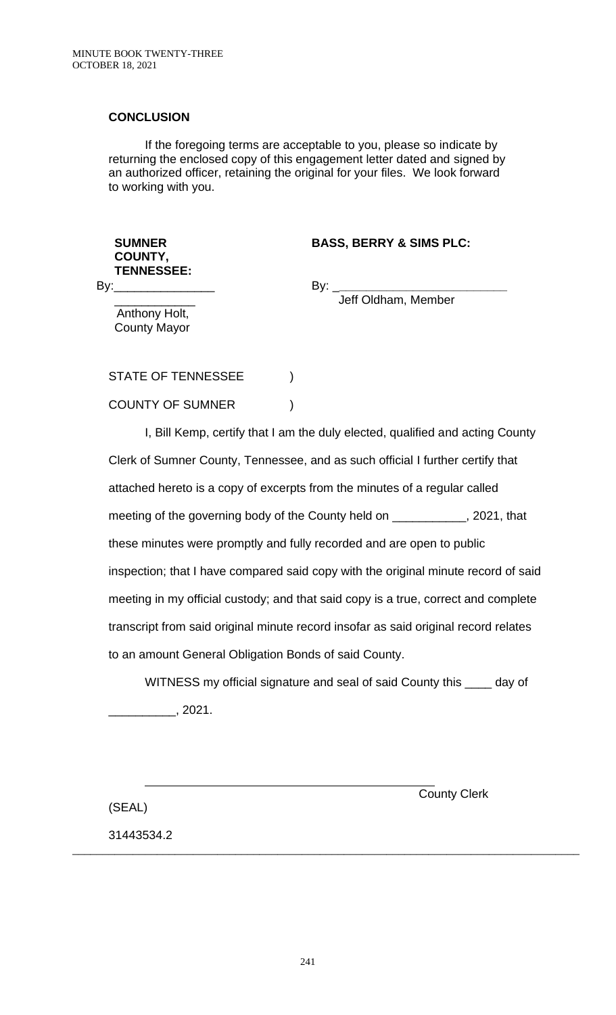## **CONCLUSION**

If the foregoing terms are acceptable to you, please so indicate by returning the enclosed copy of this engagement letter dated and signed by an authorized officer, retaining the original for your files. We look forward to working with you.

## **BASS, BERRY & SIMS PLC:**

**COUNTY, TENNESSEE:**  $By:$ 

**SUMNER** 

By: \_**\_\_\_\_\_\_\_\_\_\_\_\_\_\_\_\_\_\_\_\_\_\_\_\_\_**

Jeff Oldham, Member

\_\_\_\_\_\_\_\_\_\_\_\_ Anthony Holt, County Mayor

STATE OF TENNESSEE  $)$ COUNTY OF SUMNER )

I, Bill Kemp, certify that I am the duly elected, qualified and acting County Clerk of Sumner County, Tennessee, and as such official I further certify that attached hereto is a copy of excerpts from the minutes of a regular called meeting of the governing body of the County held on \_\_\_\_\_\_\_\_\_\_, 2021, that these minutes were promptly and fully recorded and are open to public inspection; that I have compared said copy with the original minute record of said meeting in my official custody; and that said copy is a true, correct and complete transcript from said original minute record insofar as said original record relates to an amount General Obligation Bonds of said County.

WITNESS my official signature and seal of said County this \_\_\_\_\_ day of  $, 2021.$ 

\_\_\_\_\_\_\_\_\_\_\_\_\_\_\_\_\_\_\_\_\_\_\_\_\_\_\_\_\_\_\_\_\_\_\_\_\_\_\_\_\_\_\_\_\_\_\_\_\_\_\_\_\_\_\_\_\_\_\_\_\_\_\_\_\_\_\_\_\_\_\_\_\_\_\_\_\_\_\_\_\_\_\_\_

County Clerk

(SEAL)

31443534.2

 $\overline{a}$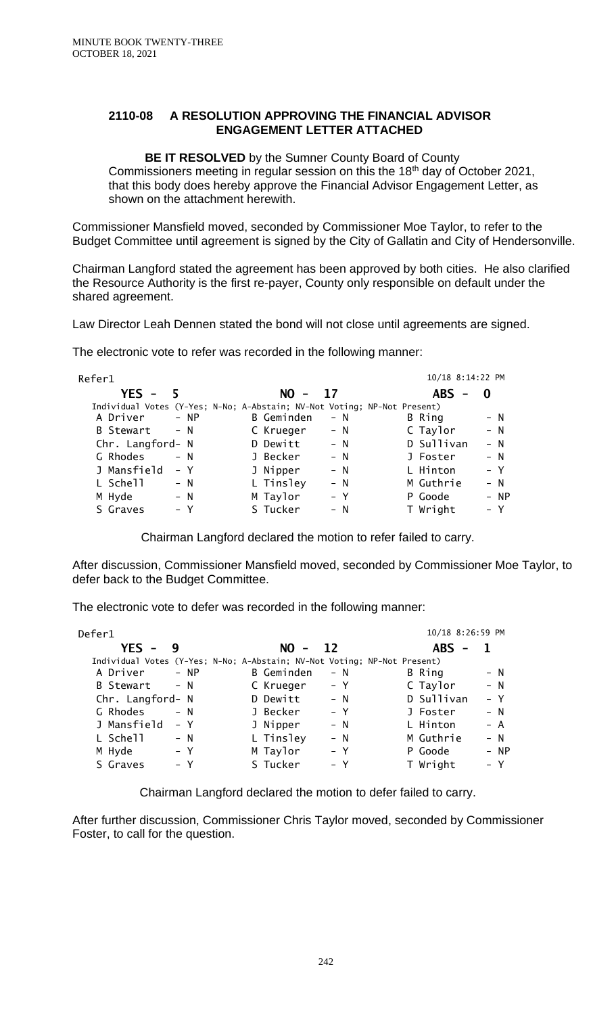### **2110-08 A RESOLUTION APPROVING THE FINANCIAL ADVISOR ENGAGEMENT LETTER ATTACHED**

**BE IT RESOLVED** by the Sumner County Board of County Commissioners meeting in regular session on this the 18th day of October 2021, that this body does hereby approve the Financial Advisor Engagement Letter, as shown on the attachment herewith.

Commissioner Mansfield moved, seconded by Commissioner Moe Taylor, to refer to the Budget Committee until agreement is signed by the City of Gallatin and City of Hendersonville.

Chairman Langford stated the agreement has been approved by both cities. He also clarified the Resource Authority is the first re-payer, County only responsible on default under the shared agreement.

Law Director Leah Dennen stated the bond will not close until agreements are signed.

The electronic vote to refer was recorded in the following manner:

| Refer1           |                                                                          | 10/18 8:14:22 PM    |
|------------------|--------------------------------------------------------------------------|---------------------|
| $YES - 5$        | $NO - 17$                                                                | $ABS -$<br>- 0      |
|                  | Individual Votes (Y-Yes; N-No; A-Abstain; NV-Not Voting; NP-Not Present) |                     |
| A Driver         | <b>B</b> Geminden                                                        | B Ring              |
| $- NP$           | $- N$                                                                    | $- N$               |
| <b>B</b> Stewart | C Krueger                                                                | C Taylor            |
| $- N$            | $- N$                                                                    | $- N$               |
| Chr. Langford- N | D Dewitt<br>$- N$                                                        | D Sullivan<br>$- N$ |
| G Rhodes         | $- N$                                                                    | $- N$               |
| $- N$            | J Becker                                                                 | J Foster            |
| J Mansfield      | J Nipper                                                                 | L Hinton            |
| – Y              | $- N$                                                                    | – Y                 |
| L Schell         | L Tinsley                                                                | M Guthrie           |
| $- N$            | $- N$                                                                    | $- N$               |
| M Hyde           | M Taylor                                                                 | P Goode             |
| $- N$            | – Y                                                                      | - NP                |
| S Graves         | S Tucker                                                                 | T Wright            |
| – Y              | $- N$                                                                    | $- Y$               |

Chairman Langford declared the motion to refer failed to carry.

After discussion, Commissioner Mansfield moved, seconded by Commissioner Moe Taylor, to defer back to the Budget Committee.

The electronic vote to defer was recorded in the following manner:

| Defer1                                                                   |        |            |       | 10/18 8:26:59 PM |       |
|--------------------------------------------------------------------------|--------|------------|-------|------------------|-------|
| $YES - 9$                                                                |        | $NO - 12$  |       | $ABS -$          |       |
| Individual Votes (Y-Yes; N-No; A-Abstain; NV-Not Voting; NP-Not Present) |        |            |       |                  |       |
| A Driver                                                                 | $- NP$ | B Geminden | – N   | B Ring           | $- N$ |
| B Stewart                                                                | $- N$  | C Krueger  | – Y   | C Taylor         | $- N$ |
| Chr. Langford- N                                                         |        | D Dewitt   | $- N$ | D Sullivan       | $- Y$ |
| G Rhodes                                                                 | $- N$  | J Becker   | – Y   | J Foster         | $- N$ |
| J Mansfield                                                              | – Y    | J Nipper   | $- N$ | L Hinton         | $- A$ |
| L Schell                                                                 | $- N$  | L Tinsley  | – N   | M Guthrie        | $- N$ |
| M Hyde                                                                   | – Y    | M Taylor   | $- Y$ | P Goode          | - NP  |
| S Graves                                                                 | – Y    | S Tucker   | – Y   | T Wright         | – Y   |

Chairman Langford declared the motion to defer failed to carry.

After further discussion, Commissioner Chris Taylor moved, seconded by Commissioner Foster, to call for the question.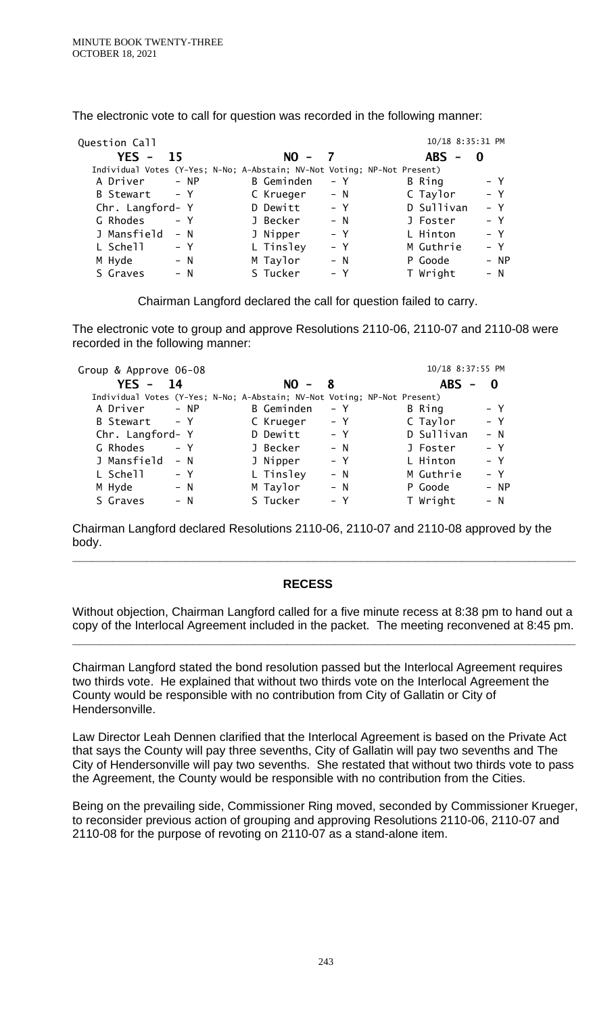| Question Call                                                            |            |       | 10/18 8:35:31 PM |        |
|--------------------------------------------------------------------------|------------|-------|------------------|--------|
| YES -<br>-15                                                             | $NO -$     |       | <b>ABS</b>       | -0     |
| Individual Votes (Y-Yes; N-No; A-Abstain; NV-Not Voting; NP-Not Present) |            |       |                  |        |
| A Driver<br>$- NP$                                                       | B Geminden | – Y   | B Ring           | – Y    |
| – Y<br>B Stewart                                                         | C Krueger  | $- N$ | C Taylor         | $- Y$  |
| Chr. Langford- Y                                                         | D Dewitt   | – Y   | D Sullivan       | $- Y$  |
| G Rhodes<br>$- Y$                                                        | J Becker   | $- N$ | J Foster         | $- Y$  |
| J Mansfield<br>$- N$                                                     | J Nipper   | – Y   | L Hinton         | $- Y$  |
| L Schell<br>– Y                                                          | L Tinsley  | – Y   | M Guthrie        | – Y    |
| M Hyde<br>$- N$                                                          | M Taylor   | $- N$ | P Goode          | $- NP$ |
| S Graves<br>$- N$                                                        | S Tucker   | – Y   | T Wright         | $- N$  |

The electronic vote to call for question was recorded in the following manner:

Chairman Langford declared the call for question failed to carry.

The electronic vote to group and approve Resolutions 2110-06, 2110-07 and 2110-08 were recorded in the following manner:

| Group & Approve 06-08                                                    |        |            |       | 10/18 8:37:55 PM |       |
|--------------------------------------------------------------------------|--------|------------|-------|------------------|-------|
| $YES -$                                                                  | 14     | $NO -$     | - 8   | <b>ABS</b>       | 0     |
| Individual Votes (Y-Yes; N-No; A-Abstain; NV-Not Voting; NP-Not Present) |        |            |       |                  |       |
| A Driver                                                                 | $- NP$ | B Geminden | – Y   | B Ring           | – Y   |
| B Stewart - Y                                                            |        | C Krueger  | – Y   | C Taylor         | – Y   |
| Chr. Langford- Y                                                         |        | D Dewitt   | $- Y$ | D Sullivan       | $- N$ |
| G Rhodes                                                                 | $- Y$  | J Becker   | $- N$ | J Foster         | – Y   |
| J Mansfield                                                              | $- N$  | J Nipper   | $- Y$ | L Hinton         | $- Y$ |
| L Schell                                                                 | – Y    | L Tinsley  | $- N$ | M Guthrie        | – Y   |
| M Hyde                                                                   | $- N$  | M Taylor   | $- N$ | P Goode          | - NP  |
| S Graves                                                                 | $- N$  | S Tucker   | – Y   | T Wright         | $- N$ |

Chairman Langford declared Resolutions 2110-06, 2110-07 and 2110-08 approved by the body.

## **RECESS**

Without objection, Chairman Langford called for a five minute recess at 8:38 pm to hand out a copy of the Interlocal Agreement included in the packet. The meeting reconvened at 8:45 pm.

**\_\_\_\_\_\_\_\_\_\_\_\_\_\_\_\_\_\_\_\_\_\_\_\_\_\_\_\_\_\_\_\_\_\_\_\_\_\_\_\_\_\_\_\_\_\_\_\_\_\_\_\_\_\_\_\_\_\_\_\_\_\_\_\_\_\_\_\_\_\_\_\_\_\_\_**

**\_\_\_\_\_\_\_\_\_\_\_\_\_\_\_\_\_\_\_\_\_\_\_\_\_\_\_\_\_\_\_\_\_\_\_\_\_\_\_\_\_\_\_\_\_\_\_\_\_\_\_\_\_\_\_\_\_\_\_\_\_\_\_\_\_\_\_\_\_\_\_\_\_\_\_**

Chairman Langford stated the bond resolution passed but the Interlocal Agreement requires two thirds vote. He explained that without two thirds vote on the Interlocal Agreement the County would be responsible with no contribution from City of Gallatin or City of Hendersonville.

Law Director Leah Dennen clarified that the Interlocal Agreement is based on the Private Act that says the County will pay three sevenths, City of Gallatin will pay two sevenths and The City of Hendersonville will pay two sevenths. She restated that without two thirds vote to pass the Agreement, the County would be responsible with no contribution from the Cities.

Being on the prevailing side, Commissioner Ring moved, seconded by Commissioner Krueger, to reconsider previous action of grouping and approving Resolutions 2110-06, 2110-07 and 2110-08 for the purpose of revoting on 2110-07 as a stand-alone item.